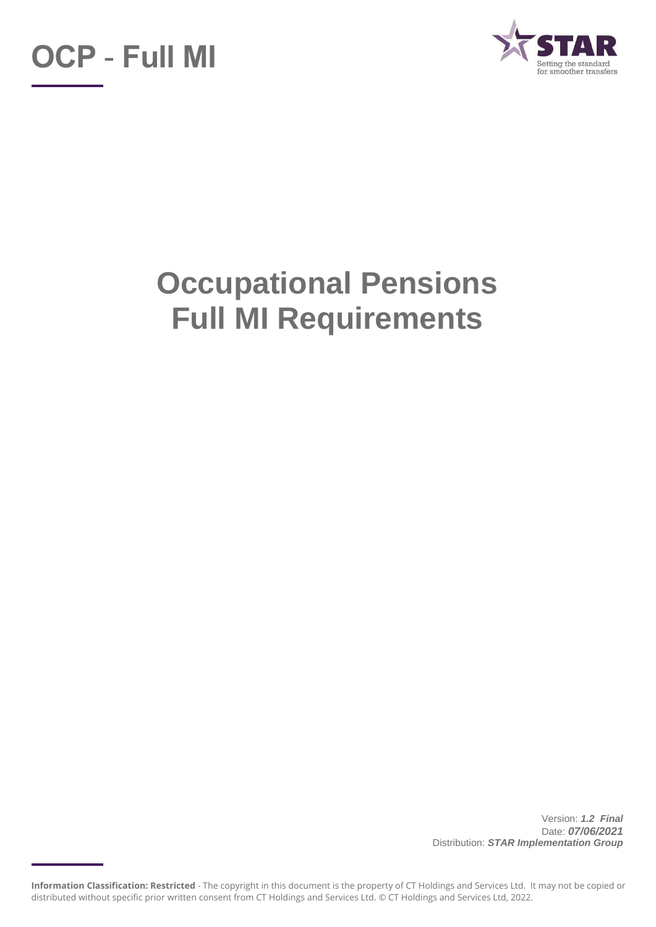



# **Occupational Pensions Full MI Requirements**

Version: *1.2 Final* Date: *07/06/2021* Distribution: *STAR Implementation Group*

**Information Classification: Restricted** - The copyright in this document is the property of CT Holdings and Services Ltd. It may not be copied or distributed without specific prior written consent from CT Holdings and Services Ltd. © CT Holdings and Services Ltd, 2022.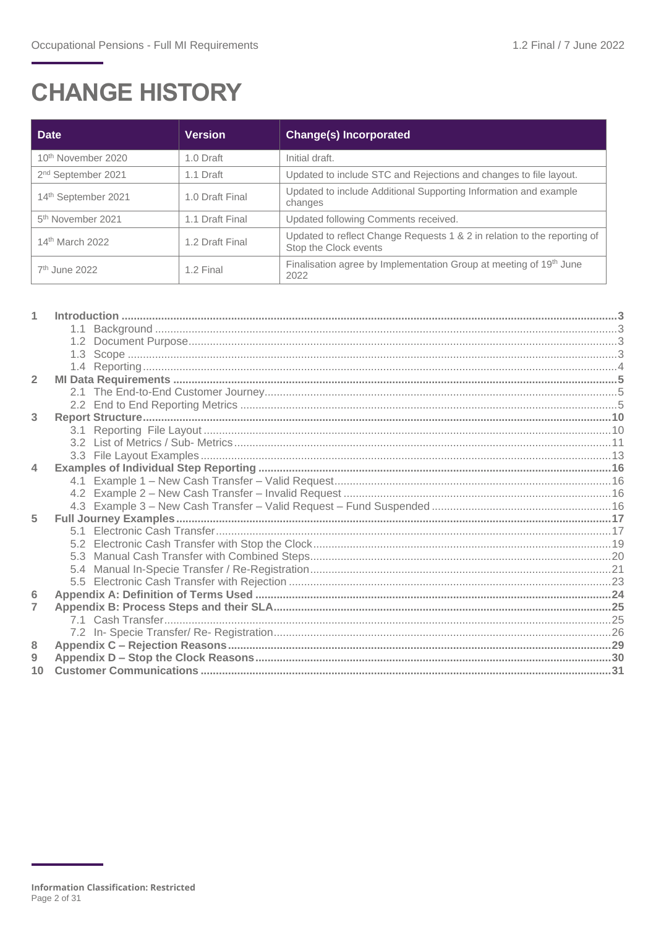## **CHANGE HISTORY**

| <b>Date</b>                    | <b>Version</b>  | <b>Change(s) Incorporated</b>                                                                     |
|--------------------------------|-----------------|---------------------------------------------------------------------------------------------------|
| 10 <sup>th</sup> November 2020 | 1.0 Draft       | Initial draft.                                                                                    |
| 2 <sup>nd</sup> September 2021 | 1.1 Draft       | Updated to include STC and Rejections and changes to file layout.                                 |
| 14th September 2021            | 1.0 Draft Final | Updated to include Additional Supporting Information and example<br>changes                       |
| 5 <sup>th</sup> November 2021  | 1.1 Draft Final | Updated following Comments received.                                                              |
| 14 <sup>th</sup> March 2022    | 1.2 Draft Final | Updated to reflect Change Requests 1 & 2 in relation to the reporting of<br>Stop the Clock events |
| $7th$ June 2022                | 1.2 Final       | Finalisation agree by Implementation Group at meeting of 19th June<br>2022                        |

| $\overline{2}$          |     |  |
|-------------------------|-----|--|
|                         |     |  |
|                         |     |  |
| 3                       |     |  |
|                         | 3.1 |  |
|                         |     |  |
|                         |     |  |
| $\overline{\mathbf{A}}$ |     |  |
|                         |     |  |
|                         |     |  |
|                         |     |  |
| 5                       |     |  |
|                         |     |  |
|                         |     |  |
|                         |     |  |
|                         |     |  |
|                         |     |  |
| $6\phantom{1}6$         |     |  |
| 7                       |     |  |
|                         |     |  |
|                         |     |  |
| 8                       |     |  |
| 9                       |     |  |
|                         |     |  |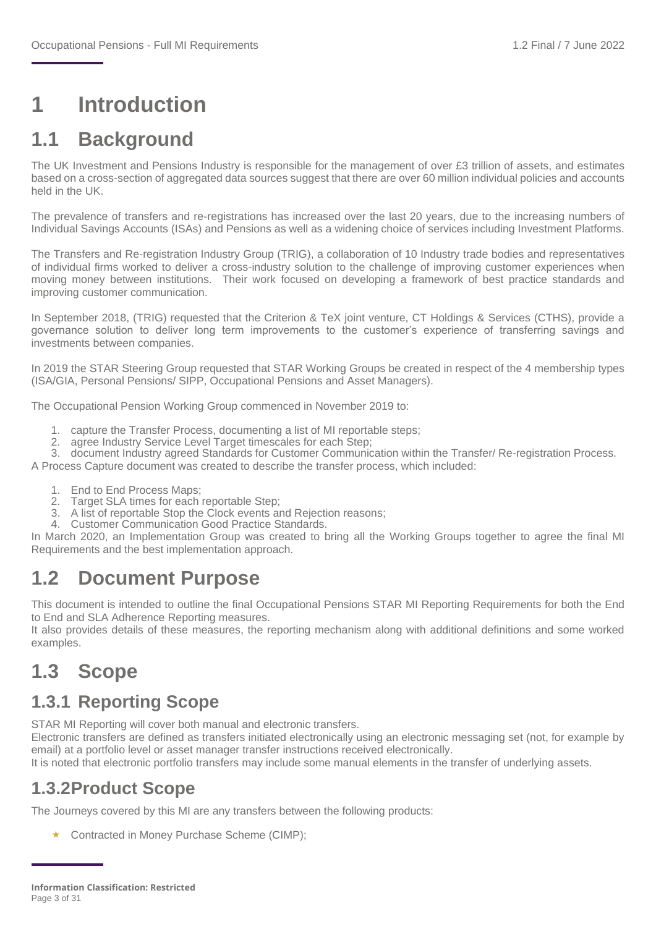### <span id="page-2-0"></span>**1 Introduction**

### <span id="page-2-1"></span>**1.1 Background**

The UK Investment and Pensions Industry is responsible for the management of over £3 trillion of assets, and estimates based on a cross-section of aggregated data sources suggest that there are over 60 million individual policies and accounts held in the UK.

The prevalence of transfers and re-registrations has increased over the last 20 years, due to the increasing numbers of Individual Savings Accounts (ISAs) and Pensions as well as a widening choice of services including Investment Platforms.

The Transfers and Re-registration Industry Group (TRIG), a collaboration of 10 Industry trade bodies and representatives of individual firms worked to deliver a cross-industry solution to the challenge of improving customer experiences when moving money between institutions. Their work focused on developing a framework of best practice standards and improving customer communication.

In September 2018, (TRIG) requested that the Criterion & TeX joint venture, CT Holdings & Services (CTHS), provide a governance solution to deliver long term improvements to the customer's experience of transferring savings and investments between companies.

In 2019 the STAR Steering Group requested that STAR Working Groups be created in respect of the 4 membership types (ISA/GIA, Personal Pensions/ SIPP, Occupational Pensions and Asset Managers).

The Occupational Pension Working Group commenced in November 2019 to:

- 1. capture the Transfer Process, documenting a list of MI reportable steps;
- 2. agree Industry Service Level Target timescales for each Step:
- 3. document Industry agreed Standards for Customer Communication within the Transfer/ Re-registration Process.

A Process Capture document was created to describe the transfer process, which included:

- 1. End to End Process Maps;
- 2. Target SLA times for each reportable Step;
- 3. A list of reportable Stop the Clock events and Rejection reasons;
- 4. Customer Communication Good Practice Standards.

In March 2020, an Implementation Group was created to bring all the Working Groups together to agree the final MI Requirements and the best implementation approach.

### <span id="page-2-2"></span>**1.2 Document Purpose**

This document is intended to outline the final Occupational Pensions STAR MI Reporting Requirements for both the End to End and SLA Adherence Reporting measures.

It also provides details of these measures, the reporting mechanism along with additional definitions and some worked examples.

### <span id="page-2-3"></span>**1.3 Scope**

#### **1.3.1 Reporting Scope**

STAR MI Reporting will cover both manual and electronic transfers.

Electronic transfers are defined as transfers initiated electronically using an electronic messaging set (not, for example by email) at a portfolio level or asset manager transfer instructions received electronically.

It is noted that electronic portfolio transfers may include some manual elements in the transfer of underlying assets.

#### **1.3.2Product Scope**

The Journeys covered by this MI are any transfers between the following products:

★ Contracted in Money Purchase Scheme (CIMP);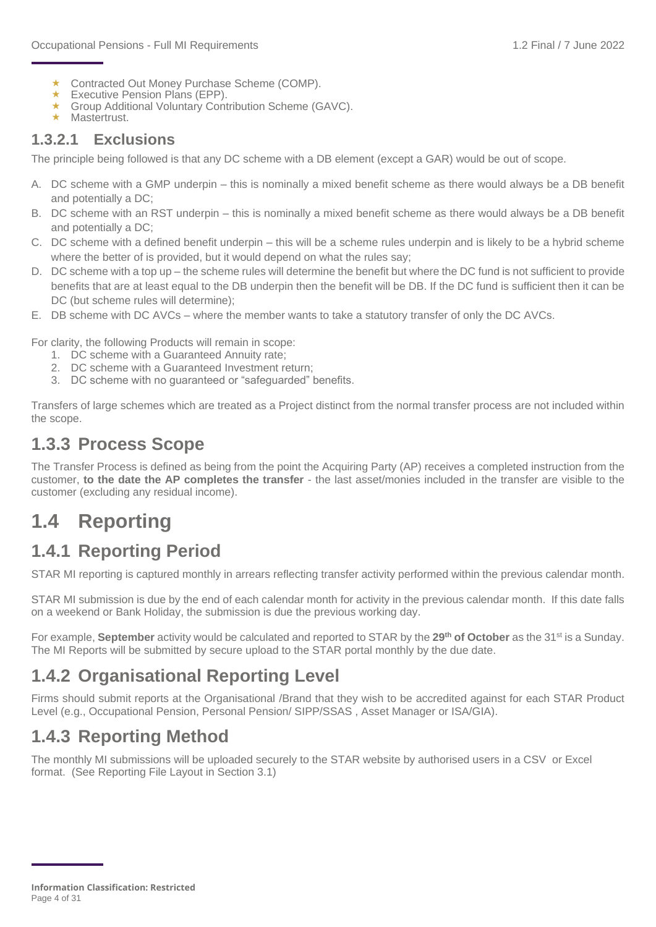- ★ Contracted Out Money Purchase Scheme (COMP).
- $\star$  Executive Pension Plans (EPP).
- ★ Group Additional Voluntary Contribution Scheme (GAVC).
- $\star$  Mastertrust.

#### **1.3.2.1 Exclusions**

The principle being followed is that any DC scheme with a DB element (except a GAR) would be out of scope.

- A. DC scheme with a GMP underpin this is nominally a mixed benefit scheme as there would always be a DB benefit and potentially a DC;
- B. DC scheme with an RST underpin this is nominally a mixed benefit scheme as there would always be a DB benefit and potentially a DC;
- C. DC scheme with a defined benefit underpin this will be a scheme rules underpin and is likely to be a hybrid scheme where the better of is provided, but it would depend on what the rules say;
- D. DC scheme with a top up the scheme rules will determine the benefit but where the DC fund is not sufficient to provide benefits that are at least equal to the DB underpin then the benefit will be DB. If the DC fund is sufficient then it can be DC (but scheme rules will determine);
- E. DB scheme with DC AVCs where the member wants to take a statutory transfer of only the DC AVCs.

For clarity, the following Products will remain in scope:

- 1. DC scheme with a Guaranteed Annuity rate;
- 2. DC scheme with a Guaranteed Investment return;
- 3. DC scheme with no guaranteed or "safeguarded" benefits.

Transfers of large schemes which are treated as a Project distinct from the normal transfer process are not included within the scope.

#### **1.3.3 Process Scope**

The Transfer Process is defined as being from the point the Acquiring Party (AP) receives a completed instruction from the customer, **to the date the AP completes the transfer** - the last asset/monies included in the transfer are visible to the customer (excluding any residual income).

### <span id="page-3-0"></span>**1.4 Reporting**

### **1.4.1 Reporting Period**

STAR MI reporting is captured monthly in arrears reflecting transfer activity performed within the previous calendar month.

STAR MI submission is due by the end of each calendar month for activity in the previous calendar month. If this date falls on a weekend or Bank Holiday, the submission is due the previous working day.

For example, **September** activity would be calculated and reported to STAR by the 29<sup>th</sup> of October as the 31<sup>st</sup> is a Sunday. The MI Reports will be submitted by secure upload to the STAR portal monthly by the due date.

### **1.4.2 Organisational Reporting Level**

Firms should submit reports at the Organisational /Brand that they wish to be accredited against for each STAR Product Level (e.g., Occupational Pension, Personal Pension/ SIPP/SSAS , Asset Manager or ISA/GIA).

### **1.4.3 Reporting Method**

The monthly MI submissions will be uploaded securely to the STAR website by authorised users in a CSV or Excel format. (See Reporting File Layout in Section 3.1)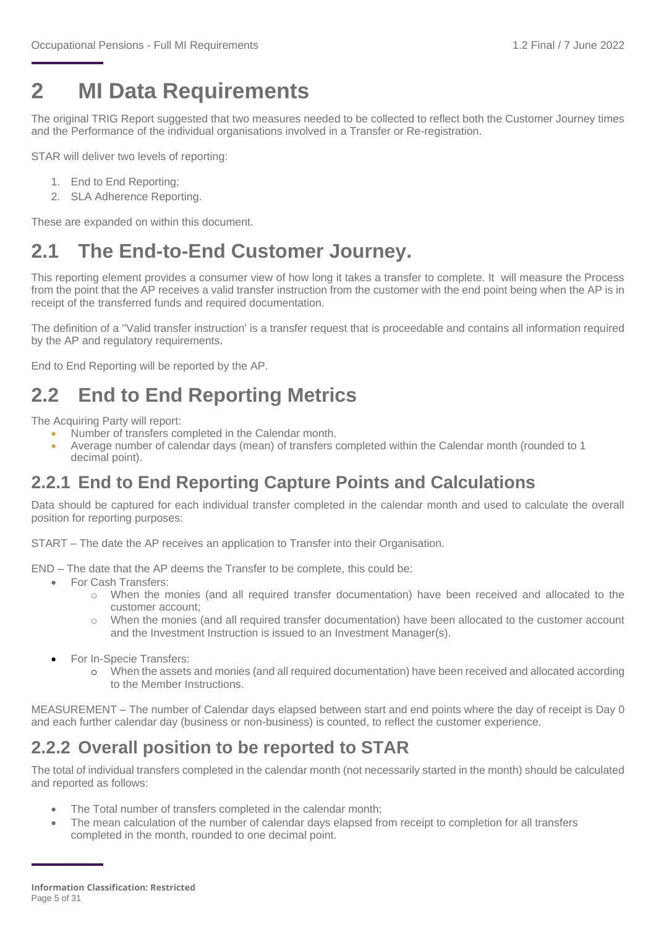## <span id="page-4-0"></span>**2 MI Data Requirements**

The original TRIG Report suggested that two measures needed to be collected to reflect both the Customer Journey times and the Performance of the individual organisations involved in a Transfer or Re-registration.

STAR will deliver two levels of reporting:

- 1. End to End Reporting;
- 2. SLA Adherence Reporting.

These are expanded on within this document.

### <span id="page-4-1"></span>**2.1 The End-to-End Customer Journey.**

This reporting element provides a consumer view of how long it takes a transfer to complete. It will measure the Process from the point that the AP receives a valid transfer instruction from the customer with the end point being when the AP is in receipt of the transferred funds and required documentation.

The definition of a ''Valid transfer instruction' is a transfer request that is proceedable and contains all information required by the AP and regulatory requirements.

End to End Reporting will be reported by the AP.

### <span id="page-4-2"></span>**2.2 End to End Reporting Metrics**

The Acquiring Party will report:

- Number of transfers completed in the Calendar month.
- Average number of calendar days (mean) of transfers completed within the Calendar month (rounded to 1 decimal point).

### **2.2.1 End to End Reporting Capture Points and Calculations**

Data should be captured for each individual transfer completed in the calendar month and used to calculate the overall position for reporting purposes:

START – The date the AP receives an application to Transfer into their Organisation.

END – The date that the AP deems the Transfer to be complete, this could be:

- For Cash Transfers:
	- o When the monies (and all required transfer documentation) have been received and allocated to the customer account;
	- When the monies (and all required transfer documentation) have been allocated to the customer account and the Investment Instruction is issued to an Investment Manager(s).
- For In-Specie Transfers:
	- o When the assets and monies (and all required documentation) have been received and allocated according to the Member Instructions.

MEASUREMENT – The number of Calendar days elapsed between start and end points where the day of receipt is Day 0 and each further calendar day (business or non-business) is counted, to reflect the customer experience.

### **2.2.2 Overall position to be reported to STAR**

The total of individual transfers completed in the calendar month (not necessarily started in the month) should be calculated and reported as follows:

- The Total number of transfers completed in the calendar month;
- The mean calculation of the number of calendar days elapsed from receipt to completion for all transfers completed in the month, rounded to one decimal point.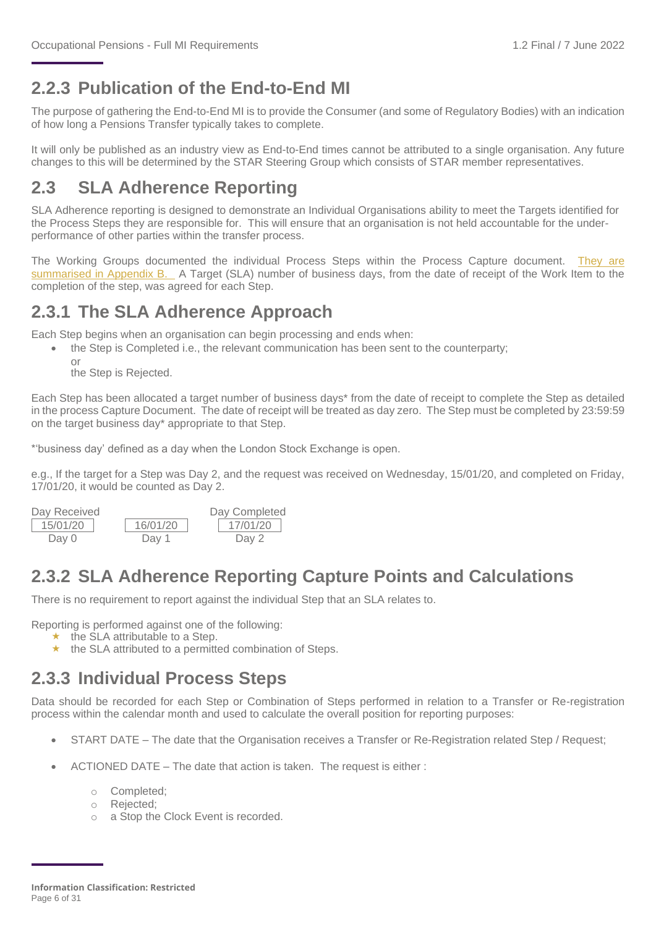### **2.2.3 Publication of the End-to-End MI**

The purpose of gathering the End-to-End MI is to provide the Consumer (and some of Regulatory Bodies) with an indication of how long a Pensions Transfer typically takes to complete.

It will only be published as an industry view as End-to-End times cannot be attributed to a single organisation. Any future changes to this will be determined by the STAR Steering Group which consists of STAR member representatives.

### **2.3 SLA Adherence Reporting**

SLA Adherence reporting is designed to demonstrate an Individual Organisations ability to meet the Targets identified for the Process Steps they are responsible for. This will ensure that an organisation is not held accountable for the underperformance of other parties within the transfer process.

The Working Groups documented the individual Process Steps within the Process Capture document. [They are](#page-24-0)  [summarised in Appendix B.](#page-24-0) A Target (SLA) number of business days, from the date of receipt of the Work Item to the completion of the step, was agreed for each Step.

#### **2.3.1 The SLA Adherence Approach**

Each Step begins when an organisation can begin processing and ends when:

- the Step is Completed i.e., the relevant communication has been sent to the counterparty;
	- or the Step is Rejected.

Each Step has been allocated a target number of business days\* from the date of receipt to complete the Step as detailed in the process Capture Document. The date of receipt will be treated as day zero. The Step must be completed by 23:59:59 on the target business day\* appropriate to that Step.

\*'business day' defined as a day when the London Stock Exchange is open.

e.g., If the target for a Step was Day 2, and the request was received on Wednesday, 15/01/20, and completed on Friday, 17/01/20, it would be counted as Day 2.

| Day Received |          | Day Completed |
|--------------|----------|---------------|
| 15/01/20     | 16/01/20 | 17/01/20      |
| Day 0        | Dav 1    | Day 2         |

### **2.3.2 SLA Adherence Reporting Capture Points and Calculations**

There is no requirement to report against the individual Step that an SLA relates to.

Reporting is performed against one of the following:

- $\star$  the SLA attributable to a Step.
- $\star$  the SLA attributed to a permitted combination of Steps.

#### **2.3.3 Individual Process Steps**

Data should be recorded for each Step or Combination of Steps performed in relation to a Transfer or Re-registration process within the calendar month and used to calculate the overall position for reporting purposes:

- START DATE The date that the Organisation receives a Transfer or Re-Registration related Step / Request;
- ACTIONED DATE The date that action is taken. The request is either :
	- o Completed;
	- o Rejected;
	- o a Stop the Clock Event is recorded.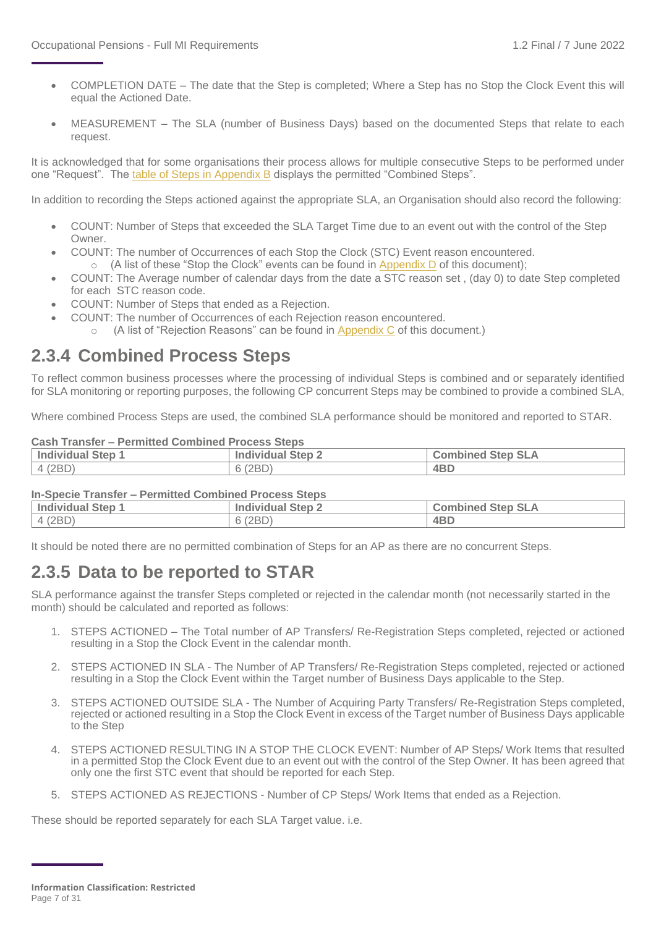- COMPLETION DATE The date that the Step is completed; Where a Step has no Stop the Clock Event this will equal the Actioned Date.
- MEASUREMENT The SLA (number of Business Days) based on the documented Steps that relate to each request.

It is acknowledged that for some organisations their process allows for multiple consecutive Steps to be performed under one "Request". The [table of Steps in Appendix](#page-24-0) B displays the permitted "Combined Steps".

In addition to recording the Steps actioned against the appropriate SLA, an Organisation should also record the following:

- COUNT: Number of Steps that exceeded the SLA Target Time due to an event out with the control of the Step Owner.
- COUNT: The number of Occurrences of each Stop the Clock (STC) Event reason encountered.  $\circ$  (A list of these "Stop the Clock" events can be found in Appendix D of this document);
- COUNT: The Average number of calendar days from the date a STC reason set , (day 0) to date Step completed for each STC reason code.
- COUNT: Number of Steps that ended as a Rejection.
- COUNT: The number of Occurrences of each Rejection reason encountered.
	- (A list of "Rejection Reasons" can be found in  $Appendix C$  of this document.)

#### **2.3.4 Combined Process Steps**

To reflect common business processes where the processing of individual Steps is combined and or separately identified for SLA monitoring or reporting purposes, the following CP concurrent Steps may be combined to provide a combined SLA,

Where combined Process Steps are used, the combined SLA performance should be monitored and reported to STAR.

#### **Cash Transfer – Permitted Combined Process Steps**

| <b>Individual Step 1</b> | <b>Individual Step 2</b> | Step SLA<br><b>Combined</b> |
|--------------------------|--------------------------|-----------------------------|
| (2BD)                    | 6 (2BD)                  | 4 <sub>B</sub> D            |

#### **In-Specie Transfer – Permitted Combined Process Steps**

| Individual Step 1 | <b>Individual Step 2</b> | <b>Combined Step SLA</b> |  |  |  |  |  |  |
|-------------------|--------------------------|--------------------------|--|--|--|--|--|--|
| 4 (2BD)           | 6(2BD)                   | 4BD                      |  |  |  |  |  |  |

It should be noted there are no permitted combination of Steps for an AP as there are no concurrent Steps.

### **2.3.5 Data to be reported to STAR**

SLA performance against the transfer Steps completed or rejected in the calendar month (not necessarily started in the month) should be calculated and reported as follows:

- 1. STEPS ACTIONED The Total number of AP Transfers/ Re-Registration Steps completed, rejected or actioned resulting in a Stop the Clock Event in the calendar month.
- 2. STEPS ACTIONED IN SLA The Number of AP Transfers/ Re-Registration Steps completed, rejected or actioned resulting in a Stop the Clock Event within the Target number of Business Days applicable to the Step.
- 3. STEPS ACTIONED OUTSIDE SLA The Number of Acquiring Party Transfers/ Re-Registration Steps completed, rejected or actioned resulting in a Stop the Clock Event in excess of the Target number of Business Days applicable to the Step
- 4. STEPS ACTIONED RESULTING IN A STOP THE CLOCK EVENT: Number of AP Steps/ Work Items that resulted in a permitted Stop the Clock Event due to an event out with the control of the Step Owner. It has been agreed that only one the first STC event that should be reported for each Step.
- 5. STEPS ACTIONED AS REJECTIONS Number of CP Steps/ Work Items that ended as a Rejection.

These should be reported separately for each SLA Target value. i.e.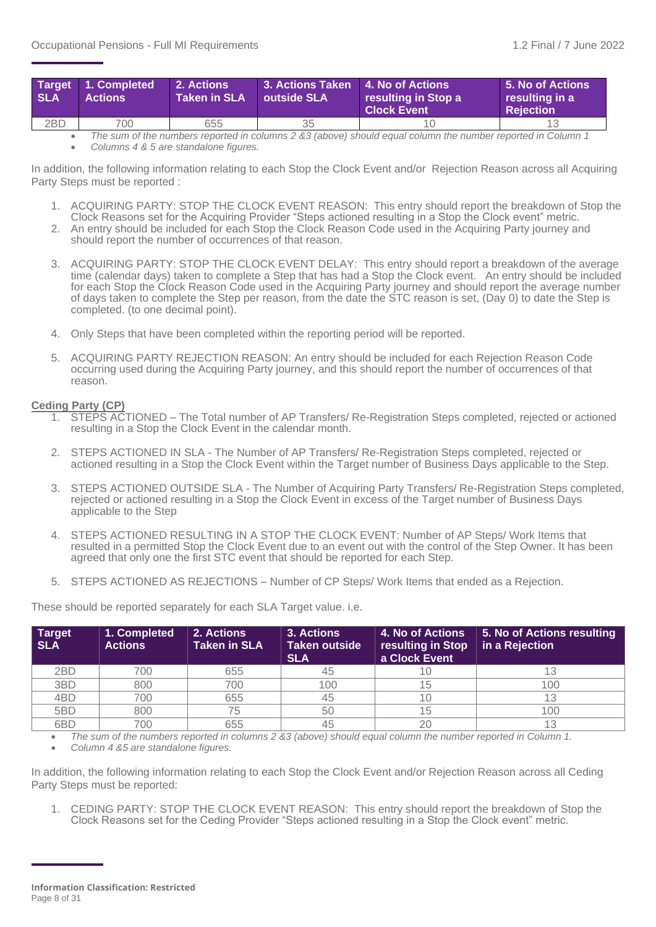| <b>SLA</b> | Target 1. Completed<br><b>Actions</b> | $\blacksquare$ 2. Actions $\blacksquare$<br><b>Taken in SLA</b> | 3. Actions Taken 4. No of Actions<br><b>Outside SLA</b> | resulting in Stop a<br><b>Clock Event</b> | <b>5. No of Actions</b><br>resulting in a<br><b>Rejection</b> |
|------------|---------------------------------------|-----------------------------------------------------------------|---------------------------------------------------------|-------------------------------------------|---------------------------------------------------------------|
| 2BD        | 700                                   | 655                                                             | 35                                                      |                                           |                                                               |

• *The sum of the numbers reported in columns 2 &3 (above) should equal column the number reported in Column 1* • *Columns 4 & 5 are standalone figures.* 

In addition, the following information relating to each Stop the Clock Event and/or Rejection Reason across all Acquiring Party Steps must be reported :

- 1. ACQUIRING PARTY: STOP THE CLOCK EVENT REASON: This entry should report the breakdown of Stop the Clock Reasons set for the Acquiring Provider "Steps actioned resulting in a Stop the Clock event" metric. 2. An entry should be included for each Stop the Clock Reason Code used in the Acquiring Party journey and
- should report the number of occurrences of that reason.
- 3. ACQUIRING PARTY: STOP THE CLOCK EVENT DELAY: This entry should report a breakdown of the average time (calendar days) taken to complete a Step that has had a Stop the Clock event. An entry should be included for each Stop the Clock Reason Code used in the Acquiring Party journey and should report the average number of days taken to complete the Step per reason, from the date the STC reason is set, (Day 0) to date the Step is completed. (to one decimal point).
- 4. Only Steps that have been completed within the reporting period will be reported.
- 5. ACQUIRING PARTY REJECTION REASON: An entry should be included for each Rejection Reason Code occurring used during the Acquiring Party journey, and this should report the number of occurrences of that reason.

#### **Ceding Party (CP)**

- 1. STEPS ACTIONED The Total number of AP Transfers/ Re-Registration Steps completed, rejected or actioned resulting in a Stop the Clock Event in the calendar month.
- 2. STEPS ACTIONED IN SLA The Number of AP Transfers/ Re-Registration Steps completed, rejected or actioned resulting in a Stop the Clock Event within the Target number of Business Days applicable to the Step.
- 3. STEPS ACTIONED OUTSIDE SLA The Number of Acquiring Party Transfers/ Re-Registration Steps completed, rejected or actioned resulting in a Stop the Clock Event in excess of the Target number of Business Days applicable to the Step
- 4. STEPS ACTIONED RESULTING IN A STOP THE CLOCK EVENT: Number of AP Steps/ Work Items that resulted in a permitted Stop the Clock Event due to an event out with the control of the Step Owner. It has been agreed that only one the first STC event that should be reported for each Step.
- 5. STEPS ACTIONED AS REJECTIONS Number of CP Steps/ Work Items that ended as a Rejection.

These should be reported separately for each SLA Target value. i.e.

| <b>Target</b><br><b>SLA</b> | 1. Completed<br><b>Actions</b> | 2. Actions<br><b>Taken in SLA</b> | 3. Actions<br>Taken outside<br><b>SLA</b> | <b>4. No of Actions</b><br>resulting in Stop<br>a Clock Event | 5. No of Actions resulting<br>in a Rejection |
|-----------------------------|--------------------------------|-----------------------------------|-------------------------------------------|---------------------------------------------------------------|----------------------------------------------|
| 2BD                         | 700                            | 655                               | 45                                        |                                                               |                                              |
| 3BD                         | 800                            | 700                               | 100                                       |                                                               | 100                                          |
| 4BD                         | 700                            | 655                               | 45                                        |                                                               |                                              |
| 5BD                         | 800                            | 75                                | 50                                        |                                                               | 100                                          |
| 6 <sub>B</sub> D            | 700                            | 655                               | 45                                        |                                                               |                                              |

• *The sum of the numbers reported in columns 2 &3 (above) should equal column the number reported in Column 1.*

• *Column 4 &5 are standalone figures.* 

In addition, the following information relating to each Stop the Clock Event and/or Rejection Reason across all Ceding Party Steps must be reported:

1. CEDING PARTY: STOP THE CLOCK EVENT REASON: This entry should report the breakdown of Stop the Clock Reasons set for the Ceding Provider "Steps actioned resulting in a Stop the Clock event" metric.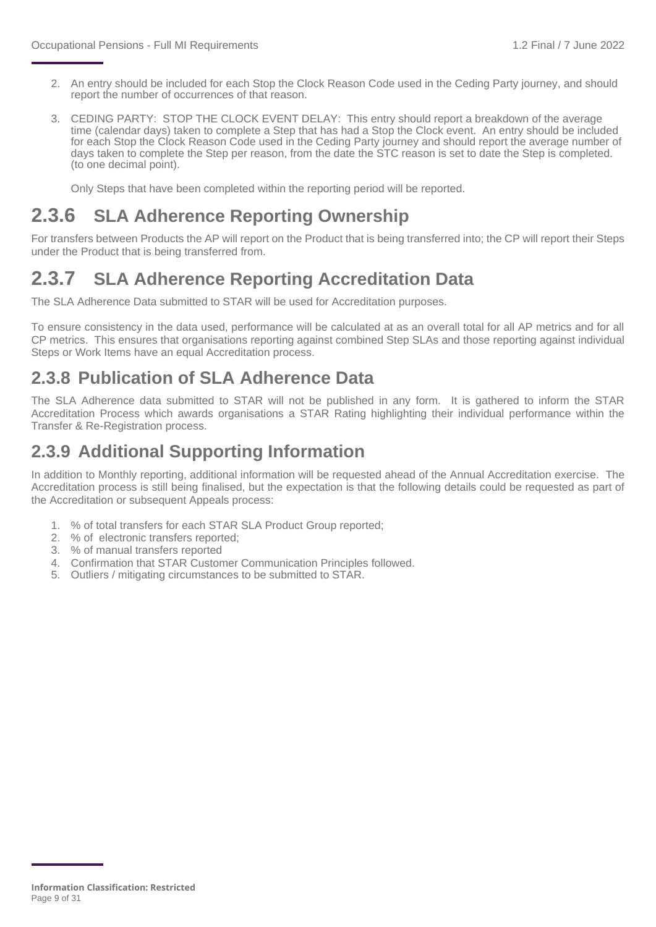- 2. An entry should be included for each Stop the Clock Reason Code used in the Ceding Party journey, and should report the number of occurrences of that reason.
- 3. CEDING PARTY: STOP THE CLOCK EVENT DELAY: This entry should report a breakdown of the average time (calendar days) taken to complete a Step that has had a Stop the Clock event. An entry should be included for each Stop the Clock Reason Code used in the Ceding Party journey and should report the average number of days taken to complete the Step per reason, from the date the STC reason is set to date the Step is completed. (to one decimal point).

Only Steps that have been completed within the reporting period will be reported.

### **2.3.6 SLA Adherence Reporting Ownership**

For transfers between Products the AP will report on the Product that is being transferred into; the CP will report their Steps under the Product that is being transferred from.

### **2.3.7 SLA Adherence Reporting Accreditation Data**

The SLA Adherence Data submitted to STAR will be used for Accreditation purposes.

To ensure consistency in the data used, performance will be calculated at as an overall total for all AP metrics and for all CP metrics. This ensures that organisations reporting against combined Step SLAs and those reporting against individual Steps or Work Items have an equal Accreditation process.

#### **2.3.8 Publication of SLA Adherence Data**

The SLA Adherence data submitted to STAR will not be published in any form. It is gathered to inform the STAR Accreditation Process which awards organisations a STAR Rating highlighting their individual performance within the Transfer & Re-Registration process.

#### **2.3.9 Additional Supporting Information**

In addition to Monthly reporting, additional information will be requested ahead of the Annual Accreditation exercise. The Accreditation process is still being finalised, but the expectation is that the following details could be requested as part of the Accreditation or subsequent Appeals process:

- 1. % of total transfers for each STAR SLA Product Group reported;
- 2. % of electronic transfers reported;
- 3. % of manual transfers reported
- 4. Confirmation that STAR Customer Communication Principles followed.
- 5. Outliers / mitigating circumstances to be submitted to STAR.

**Information Classification: Restricted** Page 9 of 31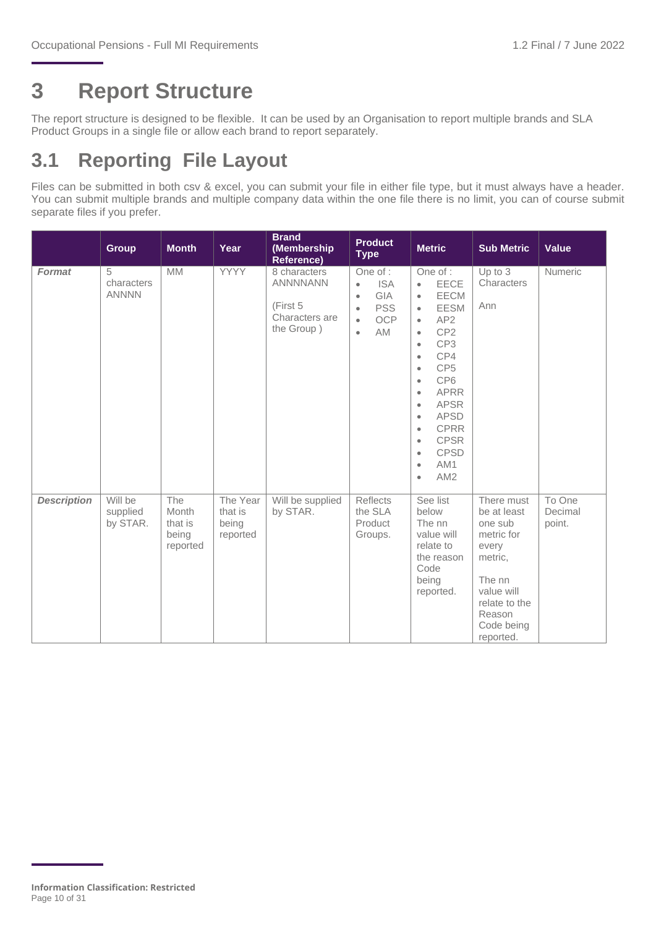### <span id="page-9-0"></span>**3 Report Structure**

The report structure is designed to be flexible. It can be used by an Organisation to report multiple brands and SLA Product Groups in a single file or allow each brand to report separately.

### <span id="page-9-1"></span>**3.1 Reporting File Layout**

Files can be submitted in both csv & excel, you can submit your file in either file type, but it must always have a header. You can submit multiple brands and multiple company data within the one file there is no limit, you can of course submit separate files if you prefer.

|                    | <b>Group</b>                    | <b>Month</b>                                 | Year                                     | <b>Brand</b><br>(Membership<br><b>Reference)</b>                            | <b>Product</b><br><b>Metric</b><br><b>Type</b>                                                                                   |                                                                                                                                                                                                                                                                                                                                                                                                                                                                             | <b>Sub Metric</b>                                                                                                                                    | <b>Value</b>                |
|--------------------|---------------------------------|----------------------------------------------|------------------------------------------|-----------------------------------------------------------------------------|----------------------------------------------------------------------------------------------------------------------------------|-----------------------------------------------------------------------------------------------------------------------------------------------------------------------------------------------------------------------------------------------------------------------------------------------------------------------------------------------------------------------------------------------------------------------------------------------------------------------------|------------------------------------------------------------------------------------------------------------------------------------------------------|-----------------------------|
| <b>Format</b>      | 5<br>characters<br><b>ANNNN</b> | <b>MM</b>                                    | <b>YYYY</b>                              | 8 characters<br><b>ANNNNANN</b><br>(First 5<br>Characters are<br>the Group) | One of :<br><b>ISA</b><br>$\bullet$<br>GIA<br>$\bullet$<br><b>PSS</b><br>$\bullet$<br><b>OCP</b><br>$\bullet$<br>AM<br>$\bullet$ | One of :<br>EECE<br>$\bullet$<br>EECM<br>$\bullet$<br>EESM<br>$\bullet$<br>AP <sub>2</sub><br>$\bullet$<br>CP <sub>2</sub><br>$\bullet$<br>CP <sub>3</sub><br>$\bullet$<br>CP4<br>$\bullet$<br>CP <sub>5</sub><br>$\bullet$<br>CP <sub>6</sub><br>$\bullet$<br><b>APRR</b><br>$\bullet$<br><b>APSR</b><br>$\bullet$<br><b>APSD</b><br>$\bullet$<br><b>CPRR</b><br>$\bullet$<br><b>CPSR</b><br>$\bullet$<br><b>CPSD</b><br>$\bullet$<br>AM1<br>$\bullet$<br>AM2<br>$\bullet$ | Up to 3<br>Characters<br>Ann                                                                                                                         | Numeric                     |
| <b>Description</b> | Will be<br>supplied<br>by STAR. | The<br>Month<br>that is<br>being<br>reported | The Year<br>that is<br>being<br>reported | Will be supplied<br>by STAR.                                                | Reflects<br>the SLA<br>Product<br>Groups.                                                                                        | See list<br>below<br>The nn<br>value will<br>relate to<br>the reason<br>Code<br>being<br>reported.                                                                                                                                                                                                                                                                                                                                                                          | There must<br>be at least<br>one sub<br>metric for<br>every<br>metric,<br>The nn<br>value will<br>relate to the<br>Reason<br>Code being<br>reported. | To One<br>Decimal<br>point. |

**Information Classification: Restricted** Page 10 of 31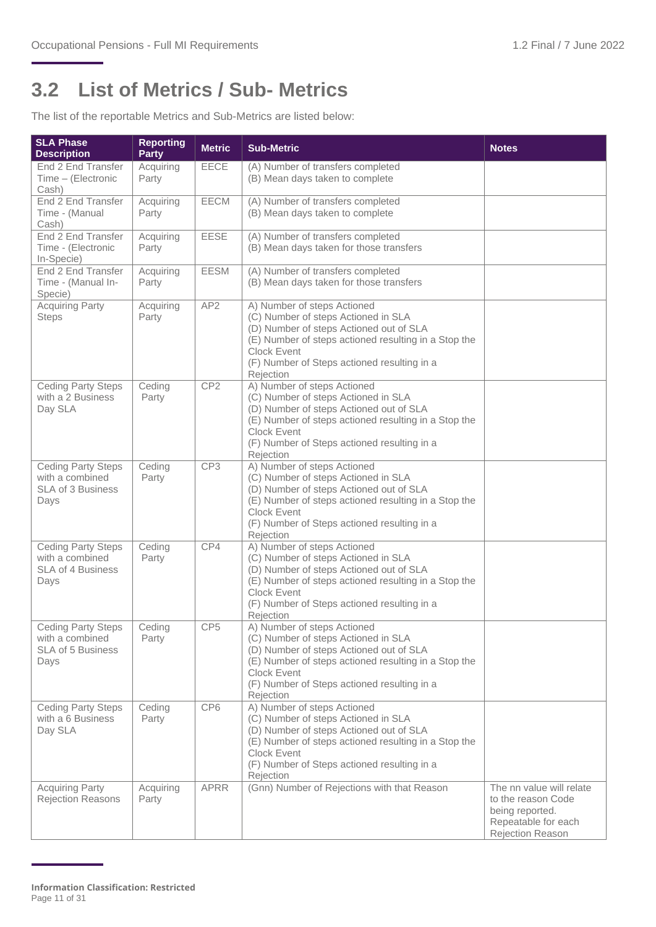### <span id="page-10-0"></span>**3.2 List of Metrics / Sub- Metrics**

The list of the reportable Metrics and Sub-Metrics are listed below:

| <b>SLA Phase</b><br><b>Description</b>                                           | <b>Reporting</b><br><b>Party</b> | <b>Metric</b>   | <b>Sub-Metric</b>                                                                                                                                                                                                                                       | <b>Notes</b>                                                                                                 |
|----------------------------------------------------------------------------------|----------------------------------|-----------------|---------------------------------------------------------------------------------------------------------------------------------------------------------------------------------------------------------------------------------------------------------|--------------------------------------------------------------------------------------------------------------|
| End 2 End Transfer<br>Time - (Electronic<br>Cash)                                | Acquiring<br>Party               | <b>EECE</b>     | (A) Number of transfers completed<br>(B) Mean days taken to complete                                                                                                                                                                                    |                                                                                                              |
| End 2 End Transfer<br>Time - (Manual<br>Cash)                                    | Acquiring<br>Party               | <b>EECM</b>     | (A) Number of transfers completed<br>(B) Mean days taken to complete                                                                                                                                                                                    |                                                                                                              |
| End 2 End Transfer<br>Time - (Electronic<br>In-Specie)                           | Acquiring<br>Party               | EESE            | (A) Number of transfers completed<br>(B) Mean days taken for those transfers                                                                                                                                                                            |                                                                                                              |
| End 2 End Transfer<br>Time - (Manual In-<br>Specie)                              | Acquiring<br>Party               | <b>EESM</b>     | (A) Number of transfers completed<br>(B) Mean days taken for those transfers                                                                                                                                                                            |                                                                                                              |
| <b>Acquiring Party</b><br><b>Steps</b>                                           | Acquiring<br>Party               | AP <sub>2</sub> | A) Number of steps Actioned<br>(C) Number of steps Actioned in SLA<br>(D) Number of steps Actioned out of SLA<br>(E) Number of steps actioned resulting in a Stop the<br><b>Clock Event</b><br>(F) Number of Steps actioned resulting in a<br>Rejection |                                                                                                              |
| <b>Ceding Party Steps</b><br>with a 2 Business<br>Day SLA                        | Ceding<br>Party                  | CP <sub>2</sub> | A) Number of steps Actioned<br>(C) Number of steps Actioned in SLA<br>(D) Number of steps Actioned out of SLA<br>(E) Number of steps actioned resulting in a Stop the<br>Clock Event<br>(F) Number of Steps actioned resulting in a<br>Rejection        |                                                                                                              |
| <b>Ceding Party Steps</b><br>with a combined<br><b>SLA of 3 Business</b><br>Days | Ceding<br>Party                  | CP <sub>3</sub> | A) Number of steps Actioned<br>(C) Number of steps Actioned in SLA<br>(D) Number of steps Actioned out of SLA<br>(E) Number of steps actioned resulting in a Stop the<br>Clock Event<br>(F) Number of Steps actioned resulting in a<br>Rejection        |                                                                                                              |
| <b>Ceding Party Steps</b><br>with a combined<br><b>SLA of 4 Business</b><br>Days | Ceding<br>Party                  | CP4             | A) Number of steps Actioned<br>(C) Number of steps Actioned in SLA<br>(D) Number of steps Actioned out of SLA<br>(E) Number of steps actioned resulting in a Stop the<br><b>Clock Event</b><br>(F) Number of Steps actioned resulting in a<br>Rejection |                                                                                                              |
| <b>Ceding Party Steps</b><br>with a combined<br>SLA of 5 Business<br>Days        | $C$ eding<br>Party               | CP <sub>5</sub> | A) Number of steps Actioned<br>(C) Number of steps Actioned in SLA<br>(D) Number of steps Actioned out of SLA<br>(E) Number of steps actioned resulting in a Stop the<br><b>Clock Event</b><br>(F) Number of Steps actioned resulting in a<br>Rejection |                                                                                                              |
| <b>Ceding Party Steps</b><br>with a 6 Business<br>Day SLA                        | Ceding<br>Party                  | CP <sub>6</sub> | A) Number of steps Actioned<br>(C) Number of steps Actioned in SLA<br>(D) Number of steps Actioned out of SLA<br>(E) Number of steps actioned resulting in a Stop the<br>Clock Event<br>(F) Number of Steps actioned resulting in a<br>Rejection        |                                                                                                              |
| <b>Acquiring Party</b><br>Rejection Reasons                                      | Acquiring<br>Party               | <b>APRR</b>     | (Gnn) Number of Rejections with that Reason                                                                                                                                                                                                             | The nn value will relate<br>to the reason Code<br>being reported.<br>Repeatable for each<br>Rejection Reason |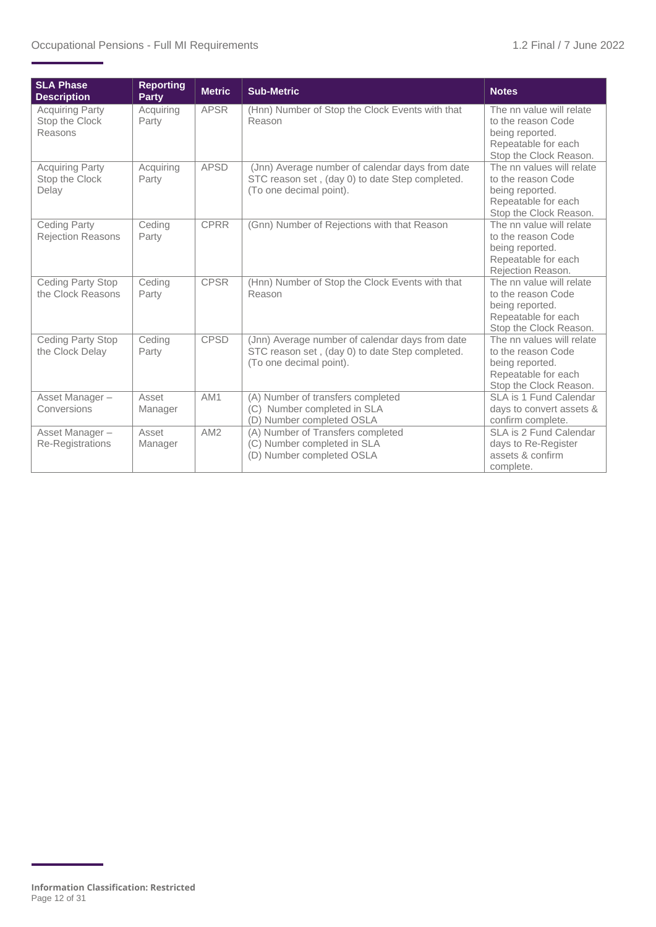| <b>SLA Phase</b><br><b>Description</b>              | <b>Reporting</b><br><b>Party</b> | <b>Metric</b> | <b>Sub-Metric</b>                                                                                                             | <b>Notes</b>                                                                                                        |
|-----------------------------------------------------|----------------------------------|---------------|-------------------------------------------------------------------------------------------------------------------------------|---------------------------------------------------------------------------------------------------------------------|
| <b>Acquiring Party</b><br>Stop the Clock<br>Reasons | Acquiring<br>Party               | <b>APSR</b>   | (Hnn) Number of Stop the Clock Events with that<br>Reason                                                                     | The nn value will relate<br>to the reason Code<br>being reported.<br>Repeatable for each<br>Stop the Clock Reason.  |
| <b>Acquiring Party</b><br>Stop the Clock<br>Delay   | Acquiring<br>Party               | <b>APSD</b>   | (Jnn) Average number of calendar days from date<br>STC reason set, (day 0) to date Step completed.<br>(To one decimal point). | The nn values will relate<br>to the reason Code<br>being reported.<br>Repeatable for each<br>Stop the Clock Reason. |
| <b>Ceding Party</b><br><b>Rejection Reasons</b>     | Ceding<br>Party                  | <b>CPRR</b>   | (Gnn) Number of Rejections with that Reason                                                                                   | The nn value will relate<br>to the reason Code<br>being reported.<br>Repeatable for each<br>Rejection Reason.       |
| Ceding Party Stop<br>the Clock Reasons              | Ceding<br>Party                  | <b>CPSR</b>   | (Hnn) Number of Stop the Clock Events with that<br>Reason                                                                     | The nn value will relate<br>to the reason Code<br>being reported.<br>Repeatable for each<br>Stop the Clock Reason.  |
| Ceding Party Stop<br>the Clock Delay                | Ceding<br>Party                  | <b>CPSD</b>   | (Jnn) Average number of calendar days from date<br>STC reason set, (day 0) to date Step completed.<br>(To one decimal point). | The nn values will relate<br>to the reason Code<br>being reported.<br>Repeatable for each<br>Stop the Clock Reason. |
| Asset Manager-<br>Conversions                       | Asset<br>Manager                 | AM1           | (A) Number of transfers completed<br>(C) Number completed in SLA<br>(D) Number completed OSLA                                 | SLA is 1 Fund Calendar<br>days to convert assets &<br>confirm complete.                                             |
| Asset Manager-<br>Re-Registrations                  | Asset<br>Manager                 | AM2           | (A) Number of Transfers completed<br>(C) Number completed in SLA<br>(D) Number completed OSLA                                 | SLA is 2 Fund Calendar<br>days to Re-Register<br>assets & confirm<br>complete.                                      |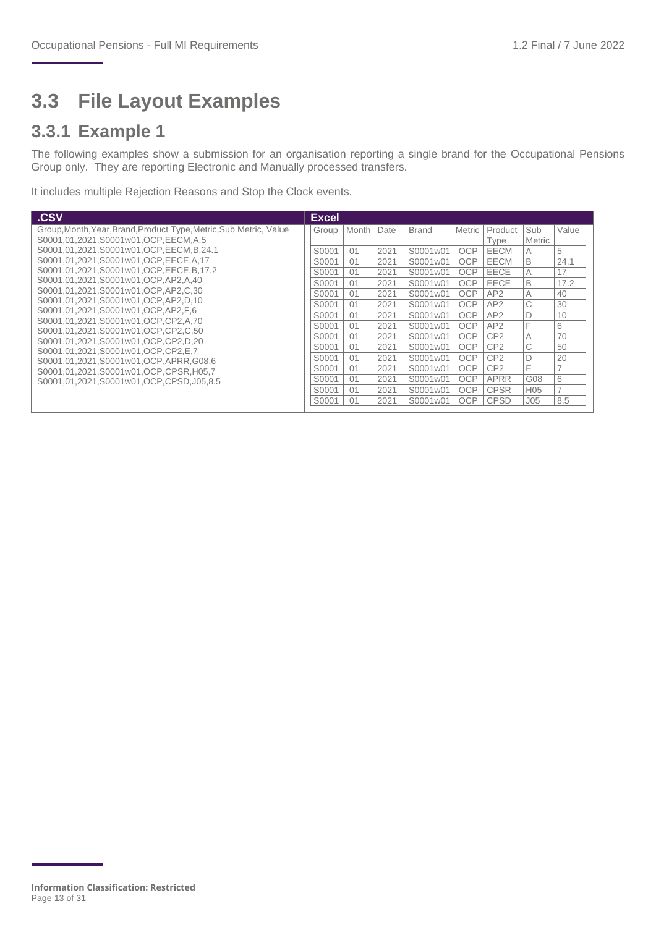### <span id="page-12-0"></span>**3.3 File Layout Examples**

#### **3.3.1 Example 1**

The following examples show a submission for an organisation reporting a single brand for the Occupational Pensions Group only. They are reporting Electronic and Manually processed transfers.

It includes multiple Rejection Reasons and Stop the Clock events.

| .CSV                                                                      | <b>Excel</b> |       |      |              |               |                 |                 |                          |
|---------------------------------------------------------------------------|--------------|-------|------|--------------|---------------|-----------------|-----------------|--------------------------|
| Group, Month, Year, Brand, Product Type, Metric, Sub Metric, Value        | Group        | Month | Date | <b>Brand</b> | <b>Metric</b> | Product         | Sub             | Value                    |
| S0001.01.2021.S0001w01.OCP.EECM.A.5                                       |              |       |      |              |               | Type            | Metric          |                          |
| S0001,01,2021,S0001w01,OCP,EECM,B,24.1                                    | S0001        | 01    | 2021 | S0001w01     | <b>OCP</b>    | EECM            | A               | 5                        |
| S0001.01.2021.S0001w01.OCP.EECE.A.17                                      | S0001        | 01    | 2021 | S0001w01     | <b>OCP</b>    | <b>EECM</b>     | B               | 24.1                     |
| S0001,01,2021,S0001w01,OCP,EECE,B,17.2                                    | S0001        | 01    | 2021 | S0001w01     | <b>OCP</b>    | EECE            | A               | 17                       |
| S0001.01.2021.S0001w01.OCP.AP2.A.40                                       | S0001        | 01    | 2021 | S0001w01     | OCP           | EECE            | B               | 17.2                     |
| S0001.01.2021.S0001w01.OCP.AP2.C.30                                       | S0001        | 01    | 2021 | S0001w01     | OCP           | AP2             | A               | 40                       |
| S0001.01.2021.S0001w01.OCP.AP2.D.10                                       | S0001        | 01    | 2021 | S0001w01     | <b>OCP</b>    | AP2             | C               | 30                       |
| S0001,01,2021,S0001w01,OCP,AP2,F,6                                        | S0001        | 01    | 2021 | S0001w01     | <b>OCP</b>    | AP2             | D               | 10                       |
| S0001,01,2021,S0001w01,OCP,CP2,A,70                                       | S0001        | 01    | 2021 | S0001w01     | <b>OCP</b>    | AP <sub>2</sub> | F               | 6                        |
| S0001.01.2021.S0001w01.OCP.CP2.C.50                                       | S0001        | 01    | 2021 | S0001w01     | <b>OCP</b>    | CP2             | A               | 70                       |
| S0001.01.2021.S0001w01.OCP.CP2.D.20<br>S0001.01.2021.S0001w01.OCP.CP2.E.7 | S0001        | 01    | 2021 | S0001w01     | <b>OCP</b>    | CP <sub>2</sub> | C               | 50                       |
| S0001.01.2021.S0001w01.OCP.APRR.G08.6                                     | S0001        | 01    | 2021 | S0001w01     | <b>OCP</b>    | CP2             | D               | 20                       |
| S0001.01.2021.S0001w01.OCP.CPSR.H05.7                                     | S0001        | 01    | 2021 | S0001w01     | OCP           | CP2             | Ε               |                          |
| S0001.01.2021.S0001w01.OCP.CPSD.J05.8.5                                   | S0001        | 01    | 2021 | S0001w01     | OCP           | APRR            | G08             | 6                        |
|                                                                           | S0001        | 01    | 2021 | S0001w01     | OCP           | <b>CPSR</b>     | H <sub>05</sub> | $\overline{\phantom{0}}$ |
|                                                                           | S0001        | 01    | 2021 | S0001w01     | OCP           | <b>CPSD</b>     | J05             | 8.5                      |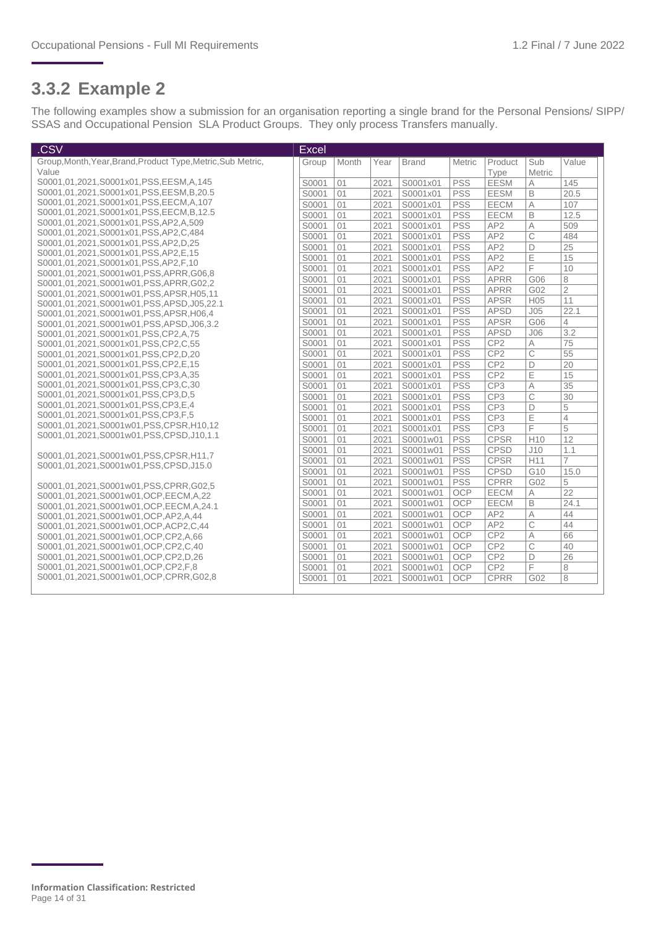#### **3.3.2 Example 2**

The following examples show a submission for an organisation reporting a single brand for the Personal Pensions/ SIPP/ SSAS and Occupational Pension SLA Product Groups. They only process Transfers manually.

| .CSV                                                                         | <b>Excel</b> |       |      |              |            |                 |                 |                |
|------------------------------------------------------------------------------|--------------|-------|------|--------------|------------|-----------------|-----------------|----------------|
| Group, Month, Year, Brand, Product Type, Metric, Sub Metric,                 | Group        | Month | Year | <b>Brand</b> | Metric     | Product         | Sub             | Value          |
| Value                                                                        |              |       |      |              |            | Type            | Metric          |                |
| S0001,01,2021,S0001x01,PSS,EESM,A,145                                        | S0001        | 01    | 2021 | S0001x01     | <b>PSS</b> | <b>EESM</b>     | A               | 145            |
| S0001,01,2021,S0001x01,PSS,EESM,B,20.5                                       | S0001        | 01    | 2021 | S0001x01     | <b>PSS</b> | <b>EESM</b>     | B               | 20.5           |
| S0001,01,2021,S0001x01,PSS,EECM,A,107                                        | S0001        | 01    | 2021 | S0001x01     | <b>PSS</b> | <b>EECM</b>     | $\overline{A}$  | 107            |
| S0001,01,2021,S0001x01,PSS,EECM,B,12.5                                       | S0001        | 01    | 2021 | S0001x01     | <b>PSS</b> | <b>EECM</b>     | B               | 12.5           |
| S0001,01,2021,S0001x01,PSS,AP2,A,509                                         | S0001        | 01    | 2021 | S0001x01     | <b>PSS</b> | AP <sub>2</sub> | A               | 509            |
| S0001,01,2021,S0001x01,PSS,AP2,C,484                                         | S0001        | 01    | 2021 | S0001x01     | <b>PSS</b> | AP <sub>2</sub> | C               | 484            |
| S0001,01,2021,S0001x01,PSS,AP2,D,25                                          | S0001        | 01    | 2021 | S0001x01     | <b>PSS</b> | AP <sub>2</sub> | D               | 25             |
| S0001,01,2021,S0001x01,PSS,AP2,E,15                                          | S0001        | 01    | 2021 | S0001x01     | <b>PSS</b> | AP <sub>2</sub> | Ε               | 15             |
| S0001,01,2021,S0001x01,PSS,AP2,F,10<br>S0001,01,2021,S0001w01,PSS,APRR,G06,8 | S0001        | 01    | 2021 | S0001x01     | <b>PSS</b> | AP <sub>2</sub> | F               | 10             |
| S0001,01,2021,S0001w01,PSS,APRR,G02,2                                        | S0001        | 01    | 2021 | S0001x01     | <b>PSS</b> | <b>APRR</b>     | G06             | 8              |
| S0001,01,2021,S0001w01,PSS,APSR,H05,11                                       | S0001        | 01    | 2021 | S0001x01     | <b>PSS</b> | <b>APRR</b>     | G02             | $\overline{2}$ |
| S0001,01,2021,S0001w01,PSS,APSD,J05,22.1                                     | S0001        | 01    | 2021 | S0001x01     | <b>PSS</b> | <b>APSR</b>     | H <sub>05</sub> | 11             |
| S0001,01,2021,S0001w01,PSS,APSR,H06,4                                        | S0001        | 01    | 2021 | S0001x01     | <b>PSS</b> | <b>APSD</b>     | J <sub>05</sub> | 22.1           |
| S0001,01,2021,S0001w01,PSS,APSD,J06,3.2                                      | S0001        | 01    | 2021 | S0001x01     | <b>PSS</b> | <b>APSR</b>     | G06             | 4              |
| S0001,01,2021,S0001x01,PSS,CP2,A,75                                          | S0001        | 01    | 2021 | S0001x01     | <b>PSS</b> | <b>APSD</b>     | J06             | 3.2            |
| S0001,01,2021,S0001x01,PSS,CP2,C,55                                          | S0001        | 01    | 2021 | S0001x01     | <b>PSS</b> | CP <sub>2</sub> | A               | 75             |
| S0001.01.2021.S0001x01.PSS.CP2.D.20                                          | S0001        | 01    | 2021 | S0001x01     | <b>PSS</b> | CP <sub>2</sub> | $\overline{C}$  | 55             |
| S0001,01,2021,S0001x01,PSS,CP2,E,15                                          | S0001        | 01    | 2021 | S0001x01     | <b>PSS</b> | CP <sub>2</sub> | D               | 20             |
| S0001,01,2021,S0001x01,PSS,CP3,A,35                                          | S0001        | 01    | 2021 | S0001x01     | <b>PSS</b> | CP <sub>2</sub> | E               | 15             |
| S0001,01,2021,S0001x01,PSS,CP3,C,30                                          | S0001        | 01    | 2021 | S0001x01     | <b>PSS</b> | CP <sub>3</sub> | A               | 35             |
| S0001,01,2021,S0001x01,PSS,CP3,D,5                                           | S0001        | 01    | 2021 | S0001x01     | <b>PSS</b> | CP <sub>3</sub> | C               | 30             |
| S0001,01,2021,S0001x01,PSS,CP3,E,4                                           | S0001        | 01    | 2021 | S0001x01     | <b>PSS</b> | CP <sub>3</sub> | D               | 5              |
| S0001,01,2021,S0001x01,PSS,CP3,F,5                                           | S0001        | 01    | 2021 | S0001x01     | <b>PSS</b> | CP <sub>3</sub> | E               | $\overline{4}$ |
| S0001.01.2021.S0001w01.PSS.CPSR.H10.12                                       | S0001        | 01    | 2021 | S0001x01     | <b>PSS</b> | CP <sub>3</sub> | F               | 5              |
| S0001.01.2021.S0001w01.PSS.CPSD.J10.1.1                                      | S0001        | 01    | 2021 | S0001w01     | <b>PSS</b> | <b>CPSR</b>     | H <sub>10</sub> | 12             |
| S0001,01,2021,S0001w01,PSS,CPSR,H11,7                                        | S0001        | 01    | 2021 | S0001w01     | <b>PSS</b> | <b>CPSD</b>     | J10             | 1.1            |
| S0001,01,2021,S0001w01,PSS,CPSD,J15.0                                        | S0001        | 01    | 2021 | S0001w01     | <b>PSS</b> | <b>CPSR</b>     | H11             | $\overline{7}$ |
|                                                                              | S0001        | 01    | 2021 | S0001w01     | <b>PSS</b> | <b>CPSD</b>     | G10             | 15.0           |
| S0001,01,2021,S0001w01,PSS,CPRR,G02,5                                        | S0001        | 01    | 2021 | S0001w01     | PSS        | <b>CPRR</b>     | G02             | 5              |
| S0001,01,2021,S0001w01,OCP,EECM,A,22                                         | S0001        | 01    | 2021 | S0001w01     | OCP        | <b>EECM</b>     | $\overline{A}$  | 22             |
| S0001,01,2021,S0001w01,OCP,EECM,A,24.1                                       | S0001        | 01    | 2021 | S0001w01     | <b>OCP</b> | <b>EECM</b>     | B               | 24.1           |
| S0001.01.2021.S0001w01.OCP.AP2.A.44                                          | S0001        | 01    | 2021 | S0001w01     | OCP        | AP <sub>2</sub> | A               | 44             |
| S0001,01,2021,S0001w01,OCP,ACP2,C,44                                         | S0001        | 01    | 2021 | S0001w01     | OCP        | AP <sub>2</sub> | $\overline{C}$  | 44             |
| S0001.01.2021.S0001w01.OCP.CP2.A.66                                          | S0001        | 01    | 2021 | S0001w01     | OCP        | CP <sub>2</sub> | A               | 66             |
| S0001,01,2021,S0001w01,OCP,CP2,C,40                                          | S0001        | 01    | 2021 | S0001w01     | OCP        | CP <sub>2</sub> | C               | 40             |
| S0001,01,2021,S0001w01,OCP,CP2,D,26                                          | S0001        | 01    | 2021 | S0001w01     | OCP        | CP <sub>2</sub> | D               | 26             |
| S0001,01,2021,S0001w01,OCP,CP2,F,8                                           | S0001        | 01    | 2021 | S0001w01     | <b>OCP</b> | CP <sub>2</sub> | F               | 8              |
| S0001,01,2021,S0001w01,OCP,CPRR,G02,8                                        | S0001        | 01    | 2021 | S0001w01     | OCP        | <b>CPRR</b>     | G02             | 8              |
|                                                                              |              |       |      |              |            |                 |                 |                |

**Information Classification: Restricted** Page 14 of 31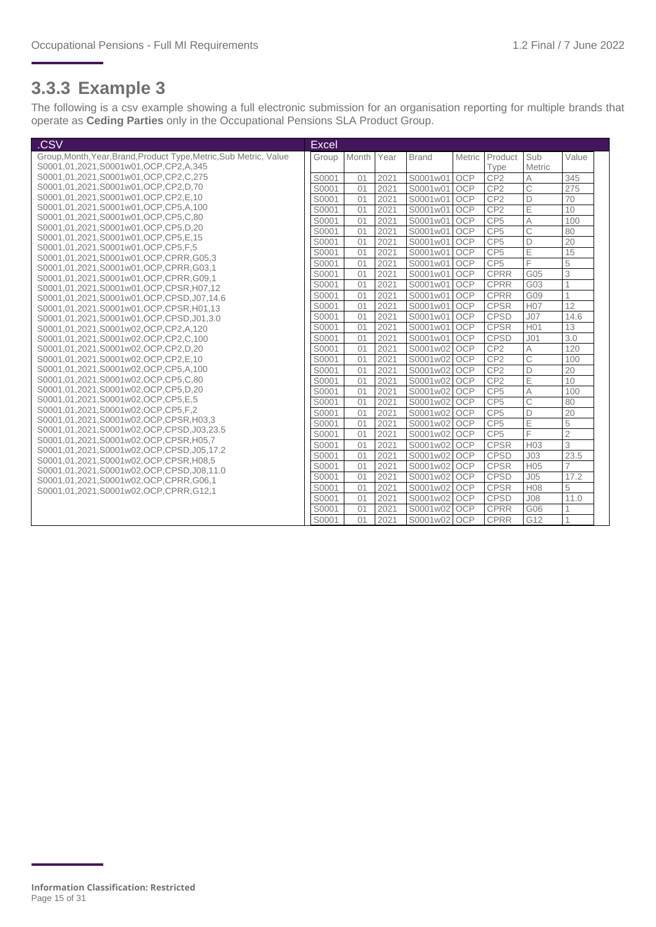#### **3.3.3 Example 3**

The following is a csv example showing a full electronic submission for an organisation reporting for multiple brands that operate as **Ceding Parties** only in the Occupational Pensions SLA Product Group.

| .CSV                                                                            | Excel |       |      |              |            |                 |                 |                |
|---------------------------------------------------------------------------------|-------|-------|------|--------------|------------|-----------------|-----------------|----------------|
| Group, Month, Year, Brand, Product Type, Metric, Sub Metric, Value              | Group | Month | Year | <b>Brand</b> | Metric     | Product         | Sub             | Value          |
| S0001.01.2021.S0001w01.OCP.CP2.A.345                                            |       |       |      |              |            | Type            | Metric          |                |
| S0001,01,2021,S0001w01,OCP,CP2,C,275                                            | S0001 | 01    | 2021 | S0001w01     | <b>OCP</b> | CP <sub>2</sub> | A               | 345            |
| S0001,01,2021,S0001w01,OCP,CP2,D,70                                             | S0001 | 01    | 2021 | S0001w01     | <b>OCP</b> | CP <sub>2</sub> | Ċ               | 275            |
| S0001,01,2021,S0001w01,OCP,CP2,E,10                                             | S0001 | 01    | 2021 | S0001w01     | <b>OCP</b> | CP <sub>2</sub> | D               | 70             |
| S0001.01.2021.S0001w01.OCP.CP5.A.100                                            | S0001 | 01    | 2021 | S0001w01     | OCP        | CP <sub>2</sub> | Ē               | 10             |
| S0001,01,2021,S0001w01,OCP,CP5,C,80                                             | S0001 | 01    | 2021 | S0001w01     | OCP        | CP <sub>5</sub> | A               | 100            |
| S0001,01,2021,S0001w01,OCP,CP5,D,20                                             | S0001 | 01    | 2021 | S0001w01     | <b>OCP</b> | CP <sub>5</sub> | Ċ               | 80             |
| S0001,01,2021,S0001w01,OCP,CP5,E,15                                             | S0001 | 01    | 2021 | S0001w01     | <b>OCP</b> | CP <sub>5</sub> | D               | 20             |
| S0001,01,2021,S0001w01,OCP,CP5,F,5                                              | S0001 | 01    | 2021 | S0001w01     | <b>OCP</b> | CP <sub>5</sub> | E               | 15             |
| S0001.01.2021.S0001w01.OCP.CPRR.G05.3                                           | S0001 | 01    | 2021 | S0001w01     | <b>OCP</b> | CP <sub>5</sub> | F               | 5              |
| S0001.01.2021.S0001w01.OCP.CPRR.G03.1                                           | S0001 | 01    | 2021 | S0001w01     | <b>OCP</b> | <b>CPRR</b>     | G05             | 3              |
| S0001.01.2021.S0001w01.OCP.CPRR.G09.1<br>S0001,01,2021,S0001w01,OCP,CPSR,H07,12 | S0001 | 01    | 2021 | S0001w01     | <b>OCP</b> | <b>CPRR</b>     | G03             | 1              |
| S0001.01.2021.S0001w01.OCP.CPSD.J07.14.6                                        | S0001 | 01    | 2021 | S0001w01     | <b>OCP</b> | <b>CPRR</b>     | G09             |                |
| S0001.01.2021.S0001w01.OCP.CPSR.H01.13                                          | S0001 | 01    | 2021 | S0001w01     | <b>OCP</b> | <b>CPSR</b>     | H <sub>07</sub> | 12             |
| S0001,01,2021,S0001w01,OCP,CPSD,J01,3.0                                         | S0001 | 01    | 2021 | S0001w01     | <b>OCP</b> | <b>CPSD</b>     | J <sub>07</sub> | 14.6           |
| S0001,01,2021,S0001w02,OCP,CP2,A,120                                            | S0001 | 01    | 2021 | S0001w01     | <b>OCP</b> | <b>CPSR</b>     | H <sub>01</sub> | 13             |
| S0001,01,2021,S0001w02,OCP,CP2,C,100                                            | S0001 | 01    | 2021 | S0001w01     | <b>OCP</b> | <b>CPSD</b>     | J <sub>01</sub> | 3.0            |
| S0001,01,2021,S0001w02,OCP,CP2,D,20                                             | S0001 | 01    | 2021 | S0001w02 OCP |            | CP <sub>2</sub> | A               | 120            |
| S0001,01,2021,S0001w02,OCP,CP2,E,10                                             | S0001 | 01    | 2021 | S0001w02 OCP |            | CP <sub>2</sub> | C               | 100            |
| S0001,01,2021,S0001w02,OCP,CP5,A,100                                            | S0001 | 01    | 2021 | S0001w02 OCP |            | CP <sub>2</sub> | D               | 20             |
| S0001,01,2021,S0001w02,OCP,CP5,C,80                                             | S0001 | 01    | 2021 | S0001w02 OCP |            | CP <sub>2</sub> | E               | 10             |
| S0001,01,2021,S0001w02,OCP,CP5,D,20                                             | S0001 | 01    | 2021 | S0001w02 OCP |            | CP <sub>5</sub> | A               | 100            |
| S0001,01,2021,S0001w02,OCP,CP5,E,5                                              | S0001 | 01    | 2021 | S0001w02     | <b>OCP</b> | CP <sub>5</sub> | C               | 80             |
| S0001.01.2021.S0001w02.OCP.CP5.F.2                                              | S0001 | 01    | 2021 | S0001w02 OCP |            | CP <sub>5</sub> | D               | 20             |
| S0001,01,2021,S0001w02,OCP,CPSR,H03,3                                           | S0001 | 01    | 2021 | S0001w02 OCP |            | CP <sub>5</sub> | E               | 5              |
| S0001.01.2021.S0001w02.OCP.CPSD.J03.23.5                                        | S0001 | 01    | 2021 | S0001w02 OCP |            | CP <sub>5</sub> | F               | $\overline{2}$ |
| S0001.01.2021.S0001w02.OCP.CPSR.H05.7                                           | S0001 | 01    | 2021 | S0001w02 OCP |            | <b>CPSR</b>     | H <sub>03</sub> | 3              |
| S0001.01.2021.S0001w02.OCP.CPSD.J05.17.2                                        | S0001 | 01    | 2021 | S0001w02 OCP |            | <b>CPSD</b>     | J <sub>03</sub> | 23.5           |
| S0001,01,2021,S0001w02,OCP,CPSR,H08,5                                           | S0001 | 01    | 2021 | S0001w02 OCP |            | <b>CPSR</b>     | H <sub>05</sub> | $\overline{7}$ |
| S0001.01.2021.S0001w02.OCP.CPSD.J08.11.0                                        | S0001 | 01    | 2021 | S0001w02 OCP |            | <b>CPSD</b>     | J05             | 17.2           |
| S0001,01,2021,S0001w02,OCP,CPRR,G06,1<br>S0001,01,2021,S0001w02,OCP,CPRR,G12,1  | S0001 | 01    | 2021 | S0001w02 OCP |            | <b>CPSR</b>     | H <sub>08</sub> | 5              |
|                                                                                 | S0001 | 01    | 2021 | S0001w02 OCP |            | <b>CPSD</b>     | J <sub>08</sub> | 11.0           |
|                                                                                 | S0001 | 01    | 2021 | S0001w02 OCP |            | <b>CPRR</b>     | G06             |                |
|                                                                                 | S0001 | 01    | 2021 | S0001w02 OCP |            | <b>CPRR</b>     | G12             |                |

**Information Classification: Restricted** Page 15 of 31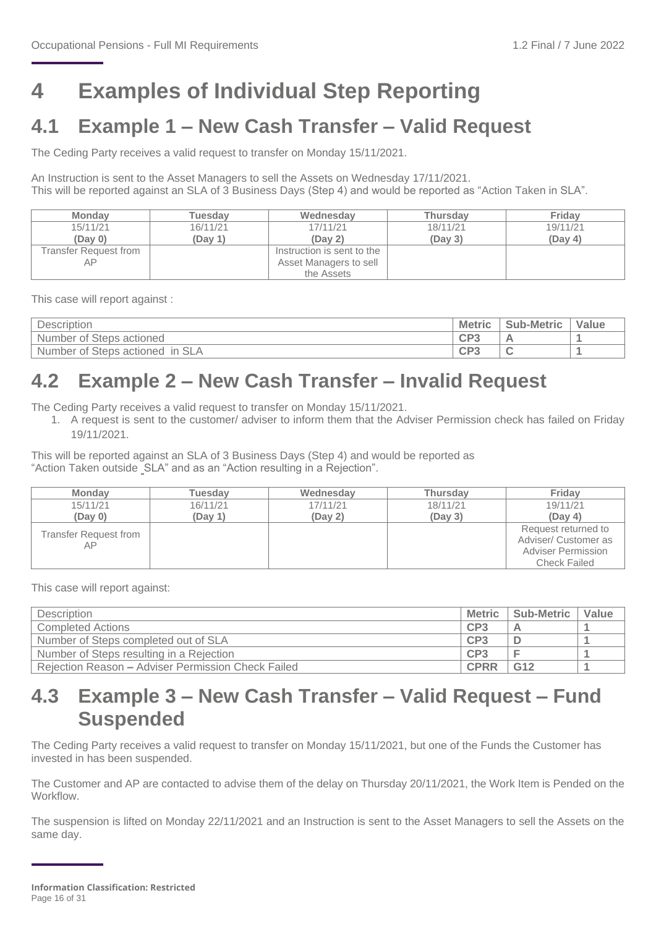## <span id="page-15-0"></span>**4 Examples of Individual Step Reporting**

### <span id="page-15-1"></span>**4.1 Example 1 – New Cash Transfer – Valid Request**

The Ceding Party receives a valid request to transfer on Monday 15/11/2021.

An Instruction is sent to the Asset Managers to sell the Assets on Wednesday 17/11/2021. This will be reported against an SLA of 3 Business Days (Step 4) and would be reported as "Action Taken in SLA".

| <b>Monday</b>         | <b>Tuesdav</b> | Wednesdav                  | Thursdav | Fridav   |
|-----------------------|----------------|----------------------------|----------|----------|
| 15/11/21              | 16/11/21       | 17/11/21                   | 18/11/21 | 19/11/21 |
| (Day 0)               | (Dav 1)        | (Dav <sub>2</sub> )        | (Dav 3)  | (Day 4)  |
| Transfer Request from |                | Instruction is sent to the |          |          |
|                       |                | Asset Managers to sell     |          |          |
|                       |                | the Assets                 |          |          |

This case will report against :

| Description                                        | <b>Metric</b>            | <b>Sub-Metric</b> | Value |
|----------------------------------------------------|--------------------------|-------------------|-------|
| Number<br><sup>f</sup> Steps actioned<br>0t        | CP?                      |                   |       |
| <b>SLA</b><br>in<br>Steps actioned<br>Number<br>0Ť | CD2<br>◡<br><b>State</b> |                   |       |

### <span id="page-15-2"></span>**4.2 Example 2 – New Cash Transfer – Invalid Request**

The Ceding Party receives a valid request to transfer on Monday 15/11/2021.

1. A request is sent to the customer/ adviser to inform them that the Adviser Permission check has failed on Friday 19/11/2021.

This will be reported against an SLA of 3 Business Days (Step 4) and would be reported as "Action Taken outside SLA" and as an "Action resulting in a Rejection".

| <b>Monday</b>               | Tuesdav  | Wednesday | <b>Thursday</b> | Friday                                                                   |
|-----------------------------|----------|-----------|-----------------|--------------------------------------------------------------------------|
| 15/11/21                    | 16/11/21 | 17/11/21  | 18/11/21        | 19/11/21                                                                 |
| (Day 0)                     | (Day 1)  | (Day 2)   | (Day 3)         | (Day 4)                                                                  |
| Transfer Request from<br>AΡ |          |           |                 | Request returned to<br>Adviser/ Customer as<br><b>Adviser Permission</b> |
|                             |          |           |                 | <b>Check Failed</b>                                                      |

This case will report against:

| <b>Description</b>                                 | <b>Metric</b>   | Sub-Metric      | Value |
|----------------------------------------------------|-----------------|-----------------|-------|
| <b>Completed Actions</b>                           | CP3             |                 |       |
| Number of Steps completed out of SLA               | CP3             |                 |       |
| Number of Steps resulting in a Rejection           | CP <sub>3</sub> |                 |       |
| Rejection Reason - Adviser Permission Check Failed | <b>CPRR</b>     | G <sub>12</sub> |       |

### <span id="page-15-3"></span>**4.3 Example 3 – New Cash Transfer – Valid Request – Fund Suspended**

The Ceding Party receives a valid request to transfer on Monday 15/11/2021, but one of the Funds the Customer has invested in has been suspended.

The Customer and AP are contacted to advise them of the delay on Thursday 20/11/2021, the Work Item is Pended on the **Workflow** 

The suspension is lifted on Monday 22/11/2021 and an Instruction is sent to the Asset Managers to sell the Assets on the same day.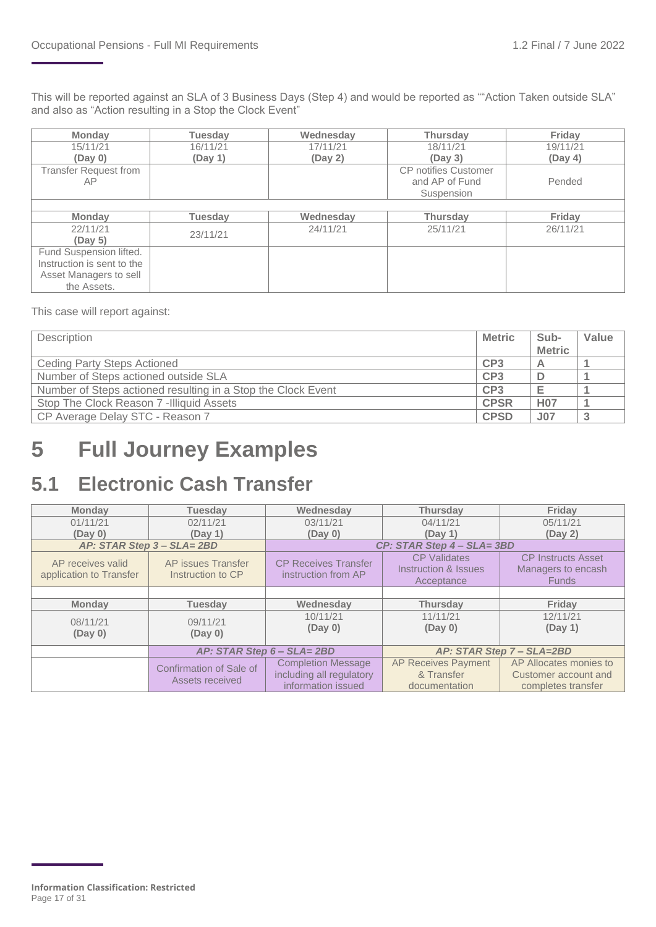This will be reported against an SLA of 3 Business Days (Step 4) and would be reported as ""Action Taken outside SLA" and also as "Action resulting in a Stop the Clock Event"

| <b>Monday</b>              | Tuesday        | Wednesday | <b>Thursday</b>             | Friday   |
|----------------------------|----------------|-----------|-----------------------------|----------|
| 15/11/21                   | 16/11/21       | 17/11/21  | 18/11/21                    | 19/11/21 |
| (Day 0)                    | (Day 1)        | (Day 2)   | (Day 3)                     | (Day 4)  |
| Transfer Request from      |                |           | <b>CP</b> notifies Customer |          |
| AP.                        |                |           | and AP of Fund              | Pended   |
|                            |                |           | Suspension                  |          |
|                            |                |           |                             |          |
|                            |                |           |                             |          |
| <b>Monday</b>              | <b>Tuesday</b> | Wednesday | <b>Thursday</b>             | Friday   |
| 22/11/21                   |                | 24/11/21  | 25/11/21                    | 26/11/21 |
| (Day 5)                    | 23/11/21       |           |                             |          |
| Fund Suspension lifted.    |                |           |                             |          |
| Instruction is sent to the |                |           |                             |          |
| Asset Managers to sell     |                |           |                             |          |

This case will report against:

| <b>Description</b>                                           | <b>Metric</b>   | Sub-<br><b>Metric</b> | Value |
|--------------------------------------------------------------|-----------------|-----------------------|-------|
| Ceding Party Steps Actioned                                  | CP <sub>3</sub> | Α                     |       |
| Number of Steps actioned outside SLA                         | CP <sub>3</sub> |                       |       |
| Number of Steps actioned resulting in a Stop the Clock Event | CP <sub>3</sub> |                       |       |
| Stop The Clock Reason 7 - Illiquid Assets                    | <b>CPSR</b>     | <b>H07</b>            |       |
| CP Average Delay STC - Reason 7                              | <b>CPSD</b>     | <b>J07</b>            |       |

## <span id="page-16-0"></span>**5 Full Journey Examples**

### <span id="page-16-1"></span>**5.1 Electronic Cash Transfer**

| <b>Monday</b>           | <b>Tuesdav</b>                                    | Wednesdav                  | <b>Thursdav</b>            | <b>Friday</b>             |
|-------------------------|---------------------------------------------------|----------------------------|----------------------------|---------------------------|
| 01/11/21                | 02/11/21                                          | 03/11/21                   | 04/11/21                   | 05/11/21                  |
| (Day 0)                 | (Day 1)                                           | (Day 0)                    | (Day 1)                    | (Day 2)                   |
|                         | AP: STAR Step 3 - SLA= 2BD                        |                            | CP: STAR Step 4 - SLA= 3BD |                           |
| AP receives valid       | AP issues Transfer<br><b>CP Receives Transfer</b> |                            | <b>CP</b> Validates        | <b>CP Instructs Asset</b> |
| application to Transfer | Instruction to CP                                 | instruction from AP        | Instruction & Issues       | Managers to encash        |
|                         |                                                   |                            | Acceptance                 | <b>Funds</b>              |
|                         |                                                   |                            |                            |                           |
| <b>Monday</b>           | <b>Tuesday</b>                                    | Wednesday                  | <b>Thursday</b>            | <b>Fridav</b>             |
| 08/11/21                | 09/11/21                                          | 10/11/21                   | 11/11/21                   | 12/11/21                  |
|                         |                                                   | (Day 0)                    | (Day 0)                    | (Day 1)                   |
| (Day 0)                 | (Day 0)                                           |                            |                            |                           |
|                         |                                                   | AP: STAR Step 6 - SLA= 2BD |                            | AP: STAR Step 7 - SLA=2BD |
|                         | Confirmation of Sale of                           | <b>Completion Message</b>  | <b>AP Receives Payment</b> | AP Allocates monies to    |
|                         | Assets received                                   | including all regulatory   | & Transfer                 | Customer account and      |
|                         |                                                   | information issued         | documentation              | completes transfer        |

**Information Classification: Restricted** Page 17 of 31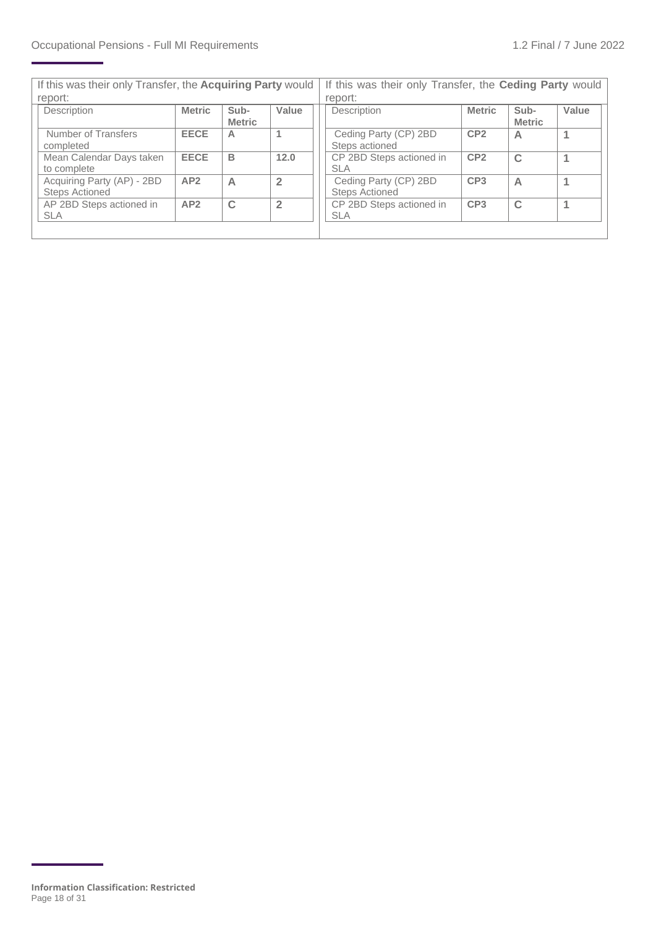| If this was their only Transfer, the Acquiring Party would |               | If this was their only Transfer, the Ceding Party would |                |  |                                                |                 |                       |       |
|------------------------------------------------------------|---------------|---------------------------------------------------------|----------------|--|------------------------------------------------|-----------------|-----------------------|-------|
| report:                                                    |               |                                                         |                |  | report:                                        |                 |                       |       |
| Description                                                | <b>Metric</b> | Sub-<br><b>Metric</b>                                   | Value          |  | Description                                    | <b>Metric</b>   | Sub-<br><b>Metric</b> | Value |
| Number of Transfers<br>completed                           | <b>EECE</b>   | А                                                       |                |  | Ceding Party (CP) 2BD<br>Steps actioned        | CP <sub>2</sub> | A                     |       |
| Mean Calendar Days taken<br>to complete                    | <b>EECE</b>   | B                                                       | 12.0           |  | CP 2BD Steps actioned in<br><b>SLA</b>         | CP <sub>2</sub> | $\mathbf C$           |       |
| Acquiring Party (AP) - 2BD<br><b>Steps Actioned</b>        | AP2           | А                                                       | $\overline{2}$ |  | Ceding Party (CP) 2BD<br><b>Steps Actioned</b> | CP <sub>3</sub> | A                     |       |
| AP 2BD Steps actioned in<br><b>SLA</b>                     | AP2           | C                                                       | $\overline{2}$ |  | CP 2BD Steps actioned in<br><b>SLA</b>         | CP <sub>3</sub> | $\mathbf C$           |       |
|                                                            |               |                                                         |                |  |                                                |                 |                       |       |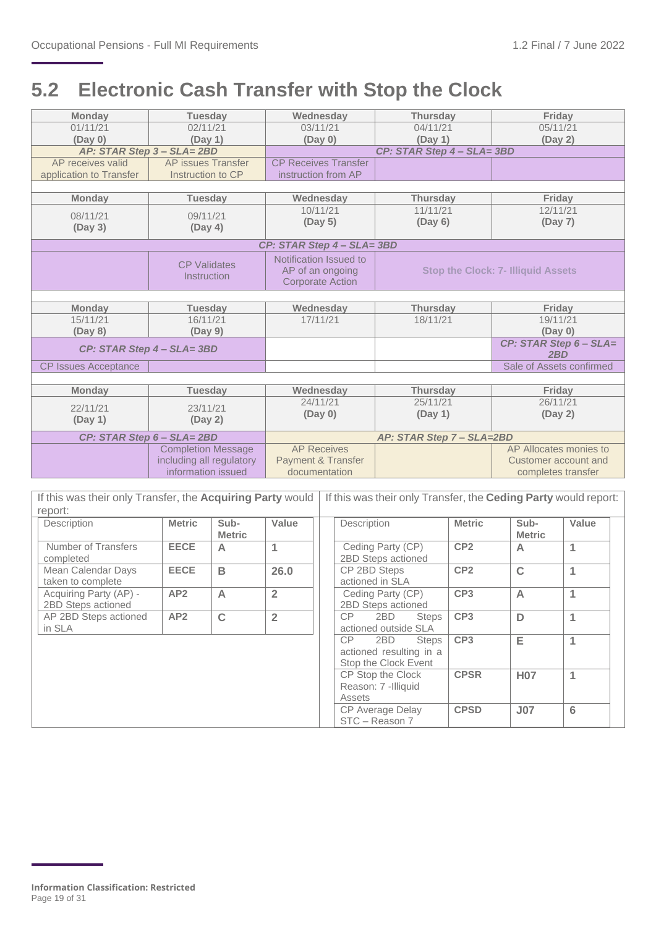### <span id="page-18-0"></span>**5.2 Electronic Cash Transfer with Stop the Clock**

| <b>Monday</b>               | <b>Tuesday</b>                                             | Wednesday                     | <b>Thursday</b>            | Friday                                                          |  |  |  |
|-----------------------------|------------------------------------------------------------|-------------------------------|----------------------------|-----------------------------------------------------------------|--|--|--|
| 01/11/21                    | 02/11/21                                                   | 03/11/21                      | 04/11/21                   | 05/11/21                                                        |  |  |  |
| (Day 0)                     | (Day 1)                                                    | (Day 0)                       | (Day 1)                    | (Day 2)                                                         |  |  |  |
|                             | AP: STAR Step 3 - SLA= 2BD                                 |                               | CP: STAR Step 4 - SLA= 3BD |                                                                 |  |  |  |
| AP receives valid           | AP issues Transfer                                         | <b>CP Receives Transfer</b>   |                            |                                                                 |  |  |  |
| application to Transfer     | Instruction to CP                                          | instruction from AP           |                            |                                                                 |  |  |  |
|                             |                                                            |                               |                            |                                                                 |  |  |  |
| <b>Monday</b>               | <b>Tuesday</b>                                             | Wednesday                     | <b>Thursday</b>            | Friday                                                          |  |  |  |
| 08/11/21                    | 09/11/21                                                   | 10/11/21                      | 11/11/21                   | 12/11/21                                                        |  |  |  |
|                             | (Day 4)                                                    | (Day 5)                       | (Day 6)                    | (Day 7)                                                         |  |  |  |
| (Day 3)                     |                                                            |                               |                            |                                                                 |  |  |  |
|                             |                                                            | CP: STAR Step 4 - SLA= 3BD    |                            |                                                                 |  |  |  |
|                             | <b>CP Validates</b>                                        | Notification Issued to        |                            |                                                                 |  |  |  |
| Instruction                 |                                                            | AP of an ongoing              |                            | <b>Stop the Clock: 7- Illiquid Assets</b>                       |  |  |  |
|                             |                                                            | <b>Corporate Action</b>       |                            |                                                                 |  |  |  |
|                             |                                                            |                               |                            |                                                                 |  |  |  |
| <b>Monday</b>               | <b>Tuesday</b>                                             | Wednesday                     | <b>Thursday</b>            | Friday                                                          |  |  |  |
| 15/11/21                    | 16/11/21                                                   | 17/11/21                      | 18/11/21                   | 19/11/21                                                        |  |  |  |
| (Day 8)                     | (Day 9)                                                    |                               |                            | (Day 0)                                                         |  |  |  |
| CP: STAR Step 4 - SLA= 3BD  |                                                            |                               |                            | CP: STAR Step 6 - SLA=                                          |  |  |  |
|                             |                                                            |                               |                            | 2BD                                                             |  |  |  |
| <b>CP Issues Acceptance</b> |                                                            |                               |                            | Sale of Assets confirmed                                        |  |  |  |
|                             |                                                            |                               |                            |                                                                 |  |  |  |
| <b>Monday</b>               | <b>Tuesday</b>                                             | Wednesday                     | <b>Thursday</b>            | Friday                                                          |  |  |  |
| 22/11/21                    | 23/11/21                                                   | 24/11/21                      | 25/11/21                   | 26/11/21                                                        |  |  |  |
| (Day 1)                     | (Day 2)                                                    | (Day 0)                       | (Day 1)                    | (Day 2)                                                         |  |  |  |
|                             |                                                            |                               |                            |                                                                 |  |  |  |
|                             | CP: STAR Step 6 - SLA= 2BD                                 |                               | AP: STAR Step 7 - SLA=2BD  |                                                                 |  |  |  |
|                             | <b>Completion Message</b>                                  | <b>AP Receives</b>            |                            | AP Allocates monies to                                          |  |  |  |
|                             | including all regulatory                                   | <b>Payment &amp; Transfer</b> |                            | Customer account and                                            |  |  |  |
|                             | information issued                                         | documentation                 |                            | completes transfer                                              |  |  |  |
|                             |                                                            |                               |                            |                                                                 |  |  |  |
|                             | If this was their only Transfer, the Acquiring Party would |                               |                            | If this was their only Transfer, the Ceding Party would report: |  |  |  |

| If this was their only Transfer, the <b>Acquiring Party</b> would |               |                       |                |                                                    |                                                                              | If this was their only Transfer, the <b>Ceding Party</b> would report: |                       |       |  |
|-------------------------------------------------------------------|---------------|-----------------------|----------------|----------------------------------------------------|------------------------------------------------------------------------------|------------------------------------------------------------------------|-----------------------|-------|--|
| report:                                                           |               |                       |                |                                                    |                                                                              |                                                                        |                       |       |  |
| Description                                                       | <b>Metric</b> | Sub-<br><b>Metric</b> | Value          |                                                    | Description                                                                  | <b>Metric</b>                                                          | Sub-<br><b>Metric</b> | Value |  |
| Number of Transfers<br>completed                                  | <b>EECE</b>   | A                     | 1              |                                                    | Ceding Party (CP)<br>2BD Steps actioned                                      | CP <sub>2</sub>                                                        | A                     | 1     |  |
| Mean Calendar Days<br>taken to complete                           | <b>EECE</b>   | B                     | 26.0           |                                                    | CP 2BD Steps<br>actioned in SLA                                              | CP <sub>2</sub>                                                        | $\mathbf C$           | 1     |  |
| Acquiring Party (AP) -<br>2BD Steps actioned                      | AP2           | A                     | $\overline{2}$ |                                                    | Ceding Party (CP)<br>2BD Steps actioned                                      | CP <sub>3</sub>                                                        | $\overline{A}$        | 1     |  |
| AP 2BD Steps actioned<br>in SLA                                   | AP2           | C                     | $\overline{2}$ |                                                    | CP.<br>2BD<br><b>Steps</b><br>actioned outside SLA                           | CP <sub>3</sub>                                                        | D                     | 1     |  |
|                                                                   |               |                       |                |                                                    | CP<br>2BD<br><b>Steps</b><br>actioned resulting in a<br>Stop the Clock Event | CP <sub>3</sub>                                                        | Е                     | 1     |  |
|                                                                   |               |                       |                | CP Stop the Clock<br>Reason: 7 -Illiquid<br>Assets |                                                                              | <b>CPSR</b>                                                            | <b>H07</b>            | 1     |  |
|                                                                   |               |                       |                | <b>CP Average Delay</b><br>STC - Reason 7          |                                                                              | <b>CPSD</b>                                                            | J <sub>07</sub>       | 6     |  |

**Information Classification: Restricted** Page 19 of 31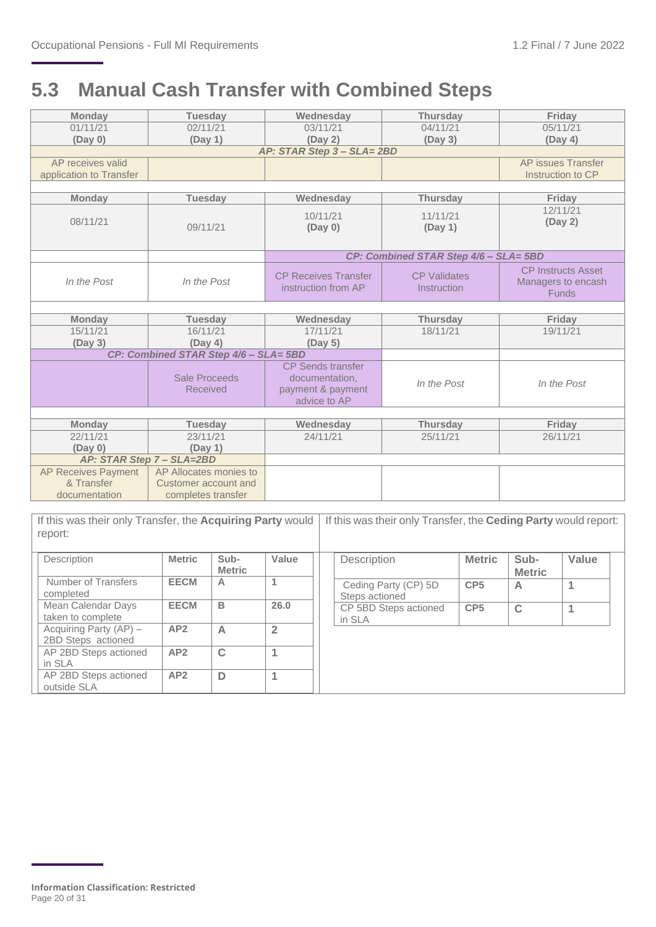### <span id="page-19-0"></span>**5.3 Manual Cash Transfer with Combined Steps**

| <b>Monday</b>           | <b>Tuesday</b>                                         | Wednesday                                                                       | <b>Thursday</b>                       | Friday                                                          |
|-------------------------|--------------------------------------------------------|---------------------------------------------------------------------------------|---------------------------------------|-----------------------------------------------------------------|
| 01/11/21                | 02/11/21                                               | 03/11/21                                                                        | 04/11/21                              | 05/11/21                                                        |
| (Day 0)                 | (Day 1)                                                | (Day 2)                                                                         | (Day 3)                               | (Day 4)                                                         |
|                         |                                                        | AP: STAR Step 3 - SLA= 2BD                                                      |                                       |                                                                 |
| AP receives valid       |                                                        |                                                                                 |                                       | AP issues Transfer                                              |
| application to Transfer |                                                        |                                                                                 |                                       | Instruction to CP                                               |
|                         |                                                        |                                                                                 |                                       |                                                                 |
| <b>Monday</b>           | <b>Tuesday</b>                                         | Wednesday                                                                       | <b>Thursday</b>                       | Friday                                                          |
| 08/11/21                | 10/11/21<br>11/11/21<br>09/11/21<br>(Day 0)<br>(Day 1) |                                                                                 |                                       | 12/11/21<br>(Day 2)                                             |
|                         |                                                        |                                                                                 | CP: Combined STAR Step 4/6 - SLA= 5BD |                                                                 |
| In the Post             | In the Post                                            | <b>CP Receives Transfer</b><br>instruction from AP                              | <b>CP Validates</b><br>Instruction    | <b>CP Instructs Asset</b><br>Managers to encash<br><b>Funds</b> |
|                         |                                                        |                                                                                 |                                       |                                                                 |
| <b>Monday</b>           | <b>Tuesday</b>                                         | Wednesday                                                                       | <b>Thursday</b>                       | Friday                                                          |
| 15/11/21                | 16/11/21                                               | 17/11/21                                                                        | 18/11/21                              | 19/11/21                                                        |
| (Day 3)                 | (Day 4)                                                | (Day 5)                                                                         |                                       |                                                                 |
|                         | CP: Combined STAR Step 4/6 - SLA= 5BD                  |                                                                                 |                                       |                                                                 |
|                         | Sale Proceeds<br><b>Received</b>                       | <b>CP Sends transfer</b><br>documentation,<br>payment & payment<br>advice to AP | In the Post                           | In the Post                                                     |
|                         |                                                        |                                                                                 |                                       |                                                                 |
| <b>Monday</b>           | <b>Tuesday</b>                                         | Wednesday                                                                       | <b>Thursday</b>                       | Friday                                                          |
| 22/11/21                | 23/11/21                                               | 24/11/21                                                                        | 25/11/21                              | 26/11/21                                                        |
| (Day 0)                 | (Day 1)                                                |                                                                                 |                                       |                                                                 |
|                         | AP: STAR Step 7 - SLA=2BD                              |                                                                                 |                                       |                                                                 |
|                         |                                                        |                                                                                 |                                       |                                                                 |
| AP Receives Payment     | AP Allocates monies to                                 |                                                                                 |                                       |                                                                 |
| & Transfer              | Customer account and                                   |                                                                                 |                                       |                                                                 |
| documentation           | completes transfer                                     |                                                                                 |                                       |                                                                 |

| If this was their only Transfer, the Acquiring Party would<br>report: |               |                       |                | If this was their only Transfer, the Ceding Party would report: |                 |                       |       |  |
|-----------------------------------------------------------------------|---------------|-----------------------|----------------|-----------------------------------------------------------------|-----------------|-----------------------|-------|--|
| Description                                                           | <b>Metric</b> | Sub-<br><b>Metric</b> | Value          | Description                                                     | <b>Metric</b>   | Sub-<br><b>Metric</b> | Value |  |
| Number of Transfers<br>completed                                      | <b>EECM</b>   | A                     | 1              | Ceding Party (CP) 5D<br>Steps actioned                          | CP <sub>5</sub> | A                     | 1     |  |
| Mean Calendar Days<br>taken to complete                               | <b>EECM</b>   | в                     | 26.0           | CP 5BD Steps actioned<br>in SLA                                 | CP <sub>5</sub> | $\mathbf C$           |       |  |
| Acquiring Party (AP) -<br>2BD Steps actioned                          | AP2           | A                     | $\overline{2}$ |                                                                 |                 |                       |       |  |
| AP 2BD Steps actioned<br>in SLA                                       | AP2           | $\mathbf C$           |                |                                                                 |                 |                       |       |  |
| AP 2BD Steps actioned<br>outside SLA                                  | AP2           | D                     |                |                                                                 |                 |                       |       |  |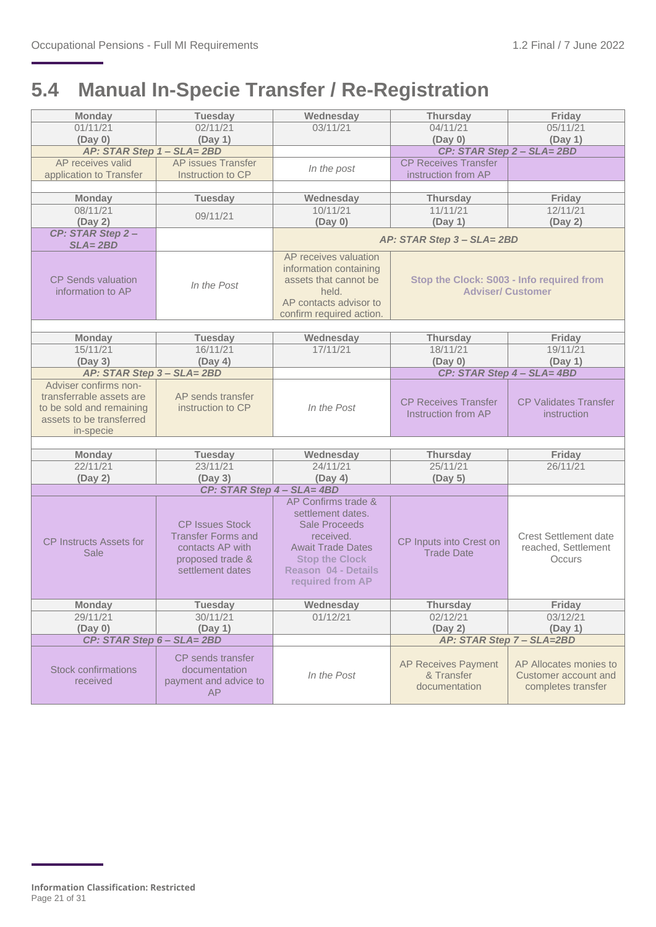### <span id="page-20-0"></span>**5.4 Manual In-Specie Transfer / Re-Registration**

| <b>Monday</b>                  | <b>Tuesday</b>             | Wednesday                  | <b>Thursday</b>                                    | Friday                                      |
|--------------------------------|----------------------------|----------------------------|----------------------------------------------------|---------------------------------------------|
| 01/11/21                       | 02/11/21                   | 03/11/21                   | 04/11/21                                           | 05/11/21                                    |
| (Day 0)                        | (Day 1)                    |                            | (Day 0)                                            | (Day 1)                                     |
| AP: STAR Step 1 - SLA=2BD      |                            |                            |                                                    | CP: STAR Step 2 - SLA= 2BD                  |
| AP receives valid              | <b>AP</b> issues Transfer  | In the post                | <b>CP Receives Transfer</b>                        |                                             |
| application to Transfer        | Instruction to CP          |                            | instruction from AP                                |                                             |
|                                |                            |                            |                                                    |                                             |
| <b>Monday</b><br>08/11/21      | <b>Tuesday</b>             | Wednesday<br>10/11/21      | <b>Thursday</b><br>11/11/21                        | Friday<br>12/11/21                          |
| (Day 2)                        | 09/11/21                   | (Day 0)                    | (Day 1)                                            | (Day 2)                                     |
| CP: STAR Step 2-               |                            |                            |                                                    |                                             |
| $SLA = 2BD$                    |                            |                            | AP: STAR Step 3 - SLA= 2BD                         |                                             |
|                                |                            | AP receives valuation      |                                                    |                                             |
|                                |                            | information containing     |                                                    |                                             |
| <b>CP Sends valuation</b>      | In the Post                | assets that cannot be      |                                                    | Stop the Clock: S003 - Info required from   |
| information to AP              |                            | held.                      |                                                    | <b>Adviser/ Customer</b>                    |
|                                |                            | AP contacts advisor to     |                                                    |                                             |
|                                |                            | confirm required action.   |                                                    |                                             |
| <b>Monday</b>                  | <b>Tuesday</b>             | Wednesday                  | <b>Thursday</b>                                    | Friday                                      |
| 15/11/21                       | 16/11/21                   | 17/11/21                   | 18/11/21                                           | 19/11/21                                    |
| (Day 3)                        | (Day 4)                    |                            | (Day 0)                                            | (Day 1)                                     |
| AP: STAR Step 3 - SLA= 2BD     |                            |                            |                                                    | CP: STAR Step 4 - SLA= 4BD                  |
| Adviser confirms non-          |                            |                            |                                                    |                                             |
| transferrable assets are       | AP sends transfer          |                            |                                                    |                                             |
| to be sold and remaining       | instruction to CP          | In the Post                | <b>CP Receives Transfer</b><br>Instruction from AP | <b>CP Validates Transfer</b><br>instruction |
| assets to be transferred       |                            |                            |                                                    |                                             |
| in-specie                      |                            |                            |                                                    |                                             |
|                                |                            |                            |                                                    |                                             |
| <b>Monday</b>                  | <b>Tuesday</b>             | Wednesday                  | <b>Thursday</b>                                    | Friday                                      |
| 22/11/21                       | 23/11/21                   | 24/11/21                   | 25/11/21                                           | 26/11/21                                    |
| (Day 2)                        | (Day 3)                    | (Day 4)                    | (Day 5)                                            |                                             |
|                                | CP: STAR Step 4 - SLA= 4BD | AP Confirms trade &        |                                                    |                                             |
|                                |                            | settlement dates.          |                                                    |                                             |
|                                | <b>CP Issues Stock</b>     | <b>Sale Proceeds</b>       |                                                    |                                             |
|                                | <b>Transfer Forms and</b>  | received.                  |                                                    | <b>Crest Settlement date</b>                |
| <b>CP Instructs Assets for</b> | contacts AP with           | <b>Await Trade Dates</b>   | CP Inputs into Crest on                            | reached, Settlement                         |
| Sale                           | proposed trade &           | <b>Stop the Clock</b>      | <b>Trade Date</b>                                  | Occurs                                      |
|                                | settlement dates           | <b>Reason 04 - Details</b> |                                                    |                                             |
|                                |                            | required from AP           |                                                    |                                             |
|                                |                            |                            |                                                    |                                             |
| Monday                         | Tuesday                    | Wednesday                  | Thursday                                           | Friday                                      |
| 29/11/21<br>(Day 0)            | 30/11/21                   | 01/12/21                   | 02/12/21<br>(Day 2)                                | 03/12/21<br>(Day 1)                         |
| CP: STAR Step 6 - SLA= 2BD     | (Day 1)                    |                            |                                                    | AP: STAR Step 7 - SLA=2BD                   |
|                                |                            |                            |                                                    |                                             |
|                                | CP sends transfer          |                            | <b>AP Receives Payment</b>                         | AP Allocates monies to                      |
| <b>Stock confirmations</b>     | documentation              | In the Post                | & Transfer                                         | Customer account and                        |
| received                       | payment and advice to      |                            | documentation                                      | completes transfer                          |
|                                | <b>AP</b>                  |                            |                                                    |                                             |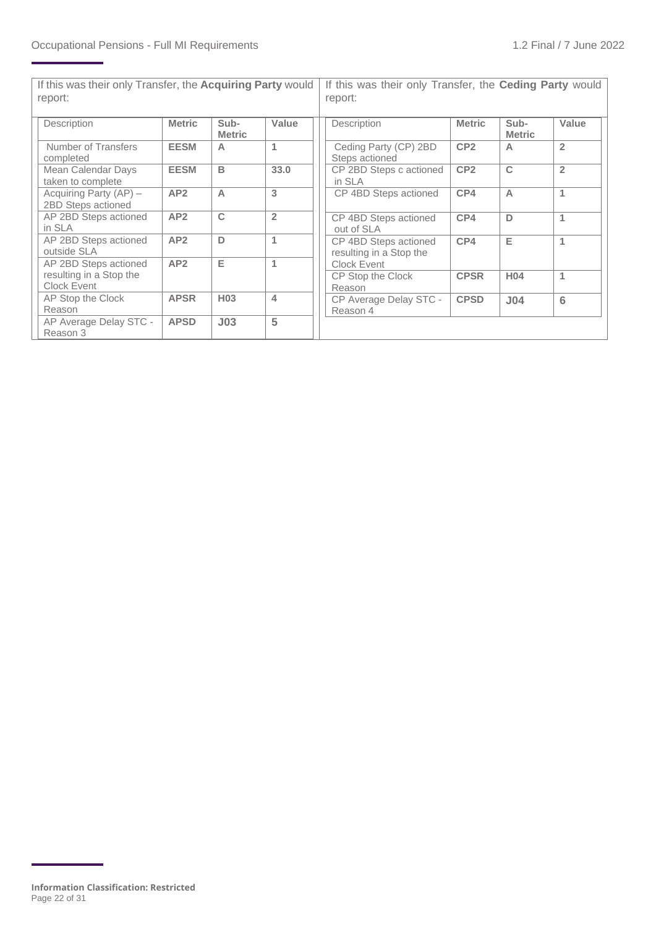| If this was their only Transfer, the Acquiring Party would<br>report: |                 |                       |                | If this was their only Transfer, the Ceding Party would<br>report: |                 |                       |                |  |  |
|-----------------------------------------------------------------------|-----------------|-----------------------|----------------|--------------------------------------------------------------------|-----------------|-----------------------|----------------|--|--|
| Description                                                           | <b>Metric</b>   | Sub-<br><b>Metric</b> | Value          | Description                                                        | <b>Metric</b>   | Sub-<br><b>Metric</b> | Value          |  |  |
| Number of Transfers<br>completed                                      | <b>EESM</b>     | A                     | 1              | Ceding Party (CP) 2BD<br>Steps actioned                            | CP <sub>2</sub> | $\overline{A}$        | $\overline{2}$ |  |  |
| Mean Calendar Days<br>taken to complete                               | <b>EESM</b>     | B                     | 33.0           | CP 2BD Steps c actioned<br>in SLA                                  | CP <sub>2</sub> | C                     | $\overline{2}$ |  |  |
| Acquiring Party (AP) -<br>2BD Steps actioned                          | AP2             | $\overline{A}$        | 3              | CP 4BD Steps actioned                                              | CP4             | $\overline{A}$        | 1              |  |  |
| AP 2BD Steps actioned<br>in SLA                                       | AP2             | C                     | $\overline{2}$ | CP 4BD Steps actioned<br>out of SLA                                | CP4             | D                     |                |  |  |
| AP 2BD Steps actioned<br>outside SLA                                  | AP2             | D                     | 1              | CP 4BD Steps actioned<br>resulting in a Stop the                   | CP4             | Е                     | 1              |  |  |
| AP 2BD Steps actioned                                                 | AP <sub>2</sub> | Е                     | 1              | Clock Event                                                        |                 |                       |                |  |  |
| resulting in a Stop the<br>Clock Event                                |                 |                       |                | CP Stop the Clock<br>Reason                                        | <b>CPSR</b>     | H <sub>04</sub>       | 1              |  |  |
| AP Stop the Clock<br>Reason                                           | <b>APSR</b>     | H <sub>03</sub>       | $\overline{4}$ | CP Average Delay STC -<br>Reason 4                                 | <b>CPSD</b>     | J <sub>04</sub>       | 6              |  |  |
| AP Average Delay STC -<br>Reason 3                                    | <b>APSD</b>     | J <sub>03</sub>       | 5              |                                                                    |                 |                       |                |  |  |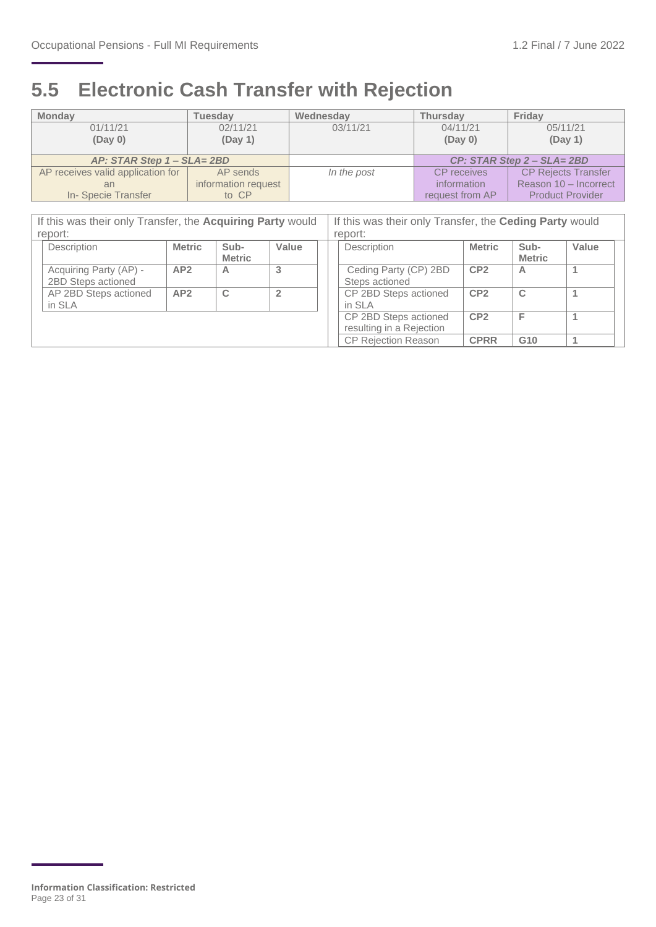### <span id="page-22-0"></span>**5.5 Electronic Cash Transfer with Rejection**

| <b>Monday</b>                     | <b>Tuesdav</b>      | Wednesday   | <b>Thursdav</b>            | Friday                     |  |
|-----------------------------------|---------------------|-------------|----------------------------|----------------------------|--|
| 01/11/21                          | 02/11/21            | 03/11/21    | 04/11/21                   | 05/11/21                   |  |
| (Day 0)                           | (Day 1)             |             | (Day 0)                    | (Day 1)                    |  |
|                                   |                     |             |                            |                            |  |
| AP: STAR Step 1 - SLA= 2BD        |                     |             | CP: STAR Step 2 - SLA= 2BD |                            |  |
| AP receives valid application for | AP sends            | In the post | <b>CP</b> receives         | <b>CP Rejects Transfer</b> |  |
| an                                | information request |             | information                | Reason 10 - Incorrect      |  |
| In-Specie Transfer                | to CP               |             | request from AP            | <b>Product Provider</b>    |  |
|                                   |                     |             |                            |                            |  |

| If this was their only Transfer, the Acquiring Party would |               |                       | If this was their only Transfer, the Ceding Party would |                                                   |                 |                       |       |  |  |
|------------------------------------------------------------|---------------|-----------------------|---------------------------------------------------------|---------------------------------------------------|-----------------|-----------------------|-------|--|--|
| report:                                                    |               |                       |                                                         | report:                                           |                 |                       |       |  |  |
| Description                                                | <b>Metric</b> | Sub-<br><b>Metric</b> | Value                                                   | Description                                       | <b>Metric</b>   | Sub-<br><b>Metric</b> | Value |  |  |
| Acquiring Party (AP) -<br>2BD Steps actioned               | AP2           | A                     | 3                                                       | Ceding Party (CP) 2BD<br>Steps actioned           | CP <sub>2</sub> | A                     |       |  |  |
| AP 2BD Steps actioned<br>in SLA                            | AP2           | C                     | $\overline{2}$                                          | CP 2BD Steps actioned<br>in SLA                   | CP <sub>2</sub> | $\mathbf C$           |       |  |  |
|                                                            |               |                       |                                                         | CP 2BD Steps actioned<br>resulting in a Rejection | CP <sub>2</sub> | Е                     |       |  |  |
|                                                            |               |                       |                                                         | <b>CP Rejection Reason</b>                        | <b>CPRR</b>     | G <sub>10</sub>       |       |  |  |

**Information Classification: Restricted** Page 23 of 31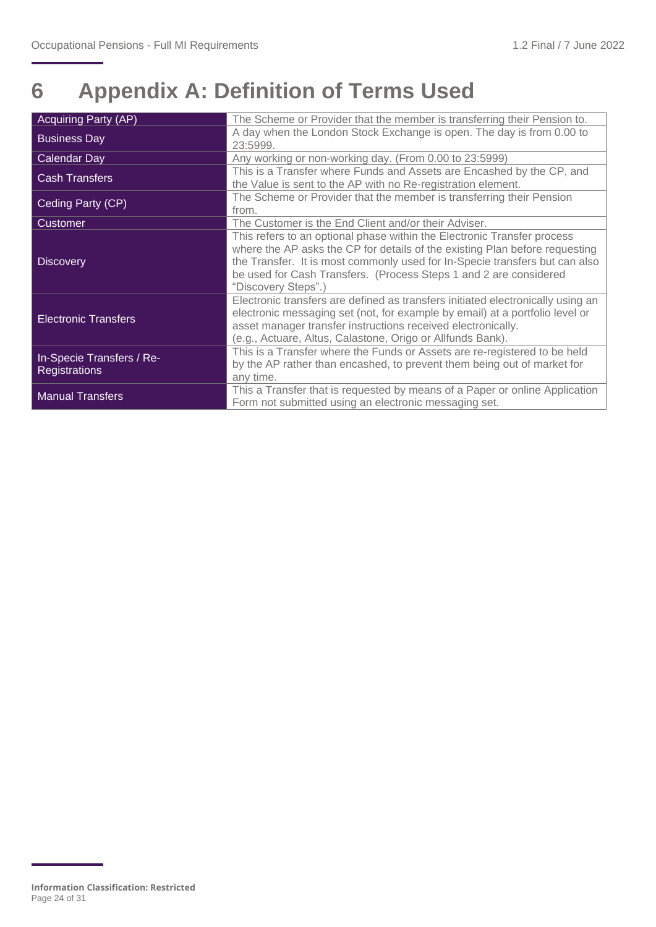## <span id="page-23-0"></span>**6 Appendix A: Definition of Terms Used**

| <b>Acquiring Party (AP)</b> | The Scheme or Provider that the member is transferring their Pension to.        |
|-----------------------------|---------------------------------------------------------------------------------|
| <b>Business Day</b>         | A day when the London Stock Exchange is open. The day is from 0.00 to           |
|                             | 23:5999.                                                                        |
| Calendar Day                | Any working or non-working day. (From 0.00 to 23:5999)                          |
| <b>Cash Transfers</b>       | This is a Transfer where Funds and Assets are Encashed by the CP, and           |
|                             | the Value is sent to the AP with no Re-registration element.                    |
| Ceding Party (CP)           | The Scheme or Provider that the member is transferring their Pension            |
|                             | from.                                                                           |
| <b>Customer</b>             | The Customer is the End Client and/or their Adviser.                            |
|                             | This refers to an optional phase within the Electronic Transfer process         |
|                             | where the AP asks the CP for details of the existing Plan before requesting     |
| <b>Discovery</b>            | the Transfer. It is most commonly used for In-Specie transfers but can also     |
|                             | be used for Cash Transfers. (Process Steps 1 and 2 are considered               |
|                             | "Discovery Steps".)                                                             |
|                             | Electronic transfers are defined as transfers initiated electronically using an |
| <b>Electronic Transfers</b> | electronic messaging set (not, for example by email) at a portfolio level or    |
|                             | asset manager transfer instructions received electronically.                    |
|                             | (e.g., Actuare, Altus, Calastone, Origo or Allfunds Bank).                      |
| In-Specie Transfers / Re-   | This is a Transfer where the Funds or Assets are re-registered to be held       |
| <b>Registrations</b>        | by the AP rather than encashed, to prevent them being out of market for         |
|                             | any time.                                                                       |
| <b>Manual Transfers</b>     | This a Transfer that is requested by means of a Paper or online Application     |
|                             | Form not submitted using an electronic messaging set.                           |

**Information Classification: Restricted** Page 24 of 31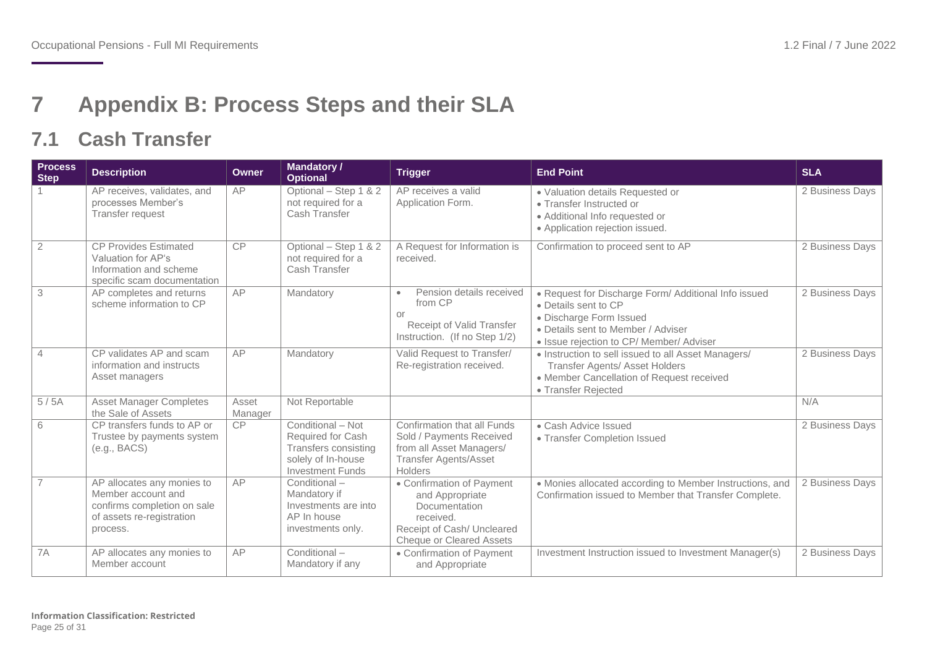### **7 Appendix B: Process Steps and their SLA**

### **7.1 Cash Transfer**

<span id="page-24-1"></span><span id="page-24-0"></span>

| <b>Process</b><br><b>Step</b> | <b>Description</b>                                                                                                       | <b>Owner</b>     | <b>Mandatory /</b><br><b>Optional</b>                                                                           | <b>Trigger</b>                                                                                                                              | <b>End Point</b>                                                                                                                                                                          | <b>SLA</b>      |
|-------------------------------|--------------------------------------------------------------------------------------------------------------------------|------------------|-----------------------------------------------------------------------------------------------------------------|---------------------------------------------------------------------------------------------------------------------------------------------|-------------------------------------------------------------------------------------------------------------------------------------------------------------------------------------------|-----------------|
|                               | AP receives, validates, and<br>processes Member's<br>Transfer request                                                    | AP               | Optional - Step 1 & 2<br>not required for a<br>Cash Transfer                                                    | AP receives a valid<br>Application Form.                                                                                                    | · Valuation details Requested or<br>• Transfer Instructed or<br>• Additional Info requested or<br>• Application rejection issued.                                                         | 2 Business Days |
| $\overline{2}$                | <b>CP Provides Estimated</b><br>Valuation for AP's<br>Information and scheme<br>specific scam documentation              | <b>CP</b>        | Optional - Step 1 & 2<br>not required for a<br>Cash Transfer                                                    | A Request for Information is<br>received.                                                                                                   | Confirmation to proceed sent to AP                                                                                                                                                        | 2 Business Days |
| 3                             | AP completes and returns<br>scheme information to CP                                                                     | AP               | Mandatory                                                                                                       | Pension details received<br>$\bullet$<br>from CP<br>or<br>Receipt of Valid Transfer<br>Instruction. (If no Step 1/2)                        | • Request for Discharge Form/ Additional Info issued<br>• Details sent to CP<br>· Discharge Form Issued<br>• Details sent to Member / Adviser<br>· Issue rejection to CP/ Member/ Adviser | 2 Business Days |
| $\overline{4}$                | CP validates AP and scam<br>information and instructs<br>Asset managers                                                  | AP               | Mandatory                                                                                                       | Valid Request to Transfer/<br>Re-registration received.                                                                                     | • Instruction to sell issued to all Asset Managers/<br><b>Transfer Agents/ Asset Holders</b><br>• Member Cancellation of Request received<br>• Transfer Rejected                          | 2 Business Days |
| 5/5A                          | <b>Asset Manager Completes</b><br>the Sale of Assets                                                                     | Asset<br>Manager | Not Reportable                                                                                                  |                                                                                                                                             |                                                                                                                                                                                           | N/A             |
| 6                             | CP transfers funds to AP or<br>Trustee by payments system<br>(e.g., BACS)                                                | <b>CP</b>        | Conditional - Not<br>Required for Cash<br>Transfers consisting<br>solely of In-house<br><b>Investment Funds</b> | Confirmation that all Funds<br>Sold / Payments Received<br>from all Asset Managers/<br><b>Transfer Agents/Asset</b><br>Holders              | • Cash Advice Issued<br>• Transfer Completion Issued                                                                                                                                      | 2 Business Days |
| $\overline{7}$                | AP allocates any monies to<br>Member account and<br>confirms completion on sale<br>of assets re-registration<br>process. | AP               | Conditional -<br>Mandatory if<br>Investments are into<br>AP In house<br>investments only.                       | • Confirmation of Payment<br>and Appropriate<br>Documentation<br>received.<br>Receipt of Cash/ Uncleared<br><b>Cheque or Cleared Assets</b> | • Monies allocated according to Member Instructions, and<br>Confirmation issued to Member that Transfer Complete.                                                                         | 2 Business Days |
| 7A                            | AP allocates any monies to<br>Member account                                                                             | AP               | Conditional -<br>Mandatory if any                                                                               | • Confirmation of Payment<br>and Appropriate                                                                                                | Investment Instruction issued to Investment Manager(s)                                                                                                                                    | 2 Business Days |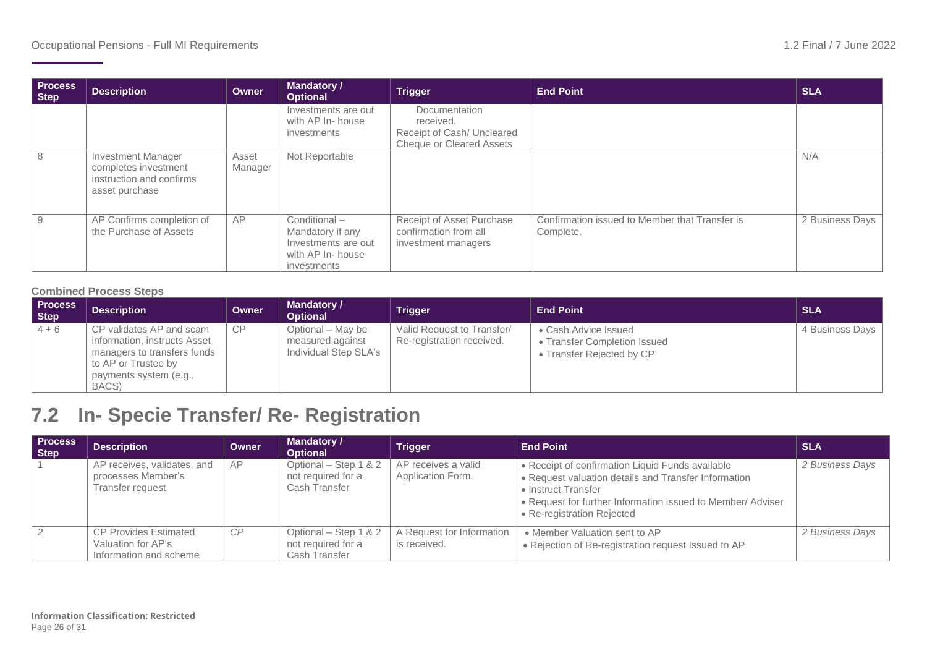| <b>Process</b><br><b>Step</b> | <b>Description</b>                                                                              | Owner            | <b>Mandatory /</b><br><b>Optional</b>                                                               | <b>Trigger</b>                                                                              | <b>End Point</b>                                            | <b>SLA</b>      |
|-------------------------------|-------------------------------------------------------------------------------------------------|------------------|-----------------------------------------------------------------------------------------------------|---------------------------------------------------------------------------------------------|-------------------------------------------------------------|-----------------|
|                               |                                                                                                 |                  | Investments are out<br>with AP In- house<br><i>investments</i>                                      | Documentation<br>received.<br>Receipt of Cash/ Uncleared<br><b>Cheque or Cleared Assets</b> |                                                             |                 |
| 8                             | <b>Investment Manager</b><br>completes investment<br>instruction and confirms<br>asset purchase | Asset<br>Manager | Not Reportable                                                                                      |                                                                                             |                                                             | N/A             |
| 9                             | AP Confirms completion of<br>the Purchase of Assets                                             | AP               | Conditional -<br>Mandatory if any<br>Investments are out<br>with AP In- house<br><i>investments</i> | Receipt of Asset Purchase<br>confirmation from all<br>investment managers                   | Confirmation issued to Member that Transfer is<br>Complete. | 2 Business Days |

#### **Combined Process Steps**

| <b>Process</b><br>Step | <b>Description</b>                                                                                                                                | <b>Owner</b> | <b>Mandatory /</b><br>Optional                                 | <b>Trigger</b>                                          | <b>End Point</b>                                                                  | <b>SLA</b>      |
|------------------------|---------------------------------------------------------------------------------------------------------------------------------------------------|--------------|----------------------------------------------------------------|---------------------------------------------------------|-----------------------------------------------------------------------------------|-----------------|
| $4 + 6$                | CP validates AP and scam<br>information, instructs Asset<br>managers to transfers funds<br>to AP or Trustee by<br>payments system (e.g.,<br>BACS) | CP           | Optional – May be<br>measured against<br>Individual Step SLA's | Valid Request to Transfer/<br>Re-registration received. | • Cash Advice Issued<br>• Transfer Completion Issued<br>• Transfer Rejected by CP | 4 Business Days |

### **7.2 In- Specie Transfer/ Re- Registration**

<span id="page-25-0"></span>

| <b>Process</b><br>Step | <b>Description</b>                                                           | Owner | <b>Mandatory /</b><br><b>Optional</b>                        | <b>Trigger</b>                            | <b>End Point</b>                                                                                                                                                                                                             | <b>SLA</b>      |
|------------------------|------------------------------------------------------------------------------|-------|--------------------------------------------------------------|-------------------------------------------|------------------------------------------------------------------------------------------------------------------------------------------------------------------------------------------------------------------------------|-----------------|
|                        | AP receives, validates, and<br>processes Member's<br>Transfer request        | AP    | Optional - Step 1 & 2<br>not required for a<br>Cash Transfer | AP receives a valid<br>Application Form.  | • Receipt of confirmation Liquid Funds available<br>• Request valuation details and Transfer Information<br>• Instruct Transfer<br>• Request for further Information issued to Member/ Adviser<br>• Re-registration Rejected | 2 Business Days |
|                        | <b>CP Provides Estimated</b><br>Valuation for AP's<br>Information and scheme | CP    | Optional - Step 1 & 2<br>not required for a<br>Cash Transfer | A Request for Information<br>is received. | • Member Valuation sent to AP<br>• Rejection of Re-registration request Issued to AP                                                                                                                                         | 2 Business Days |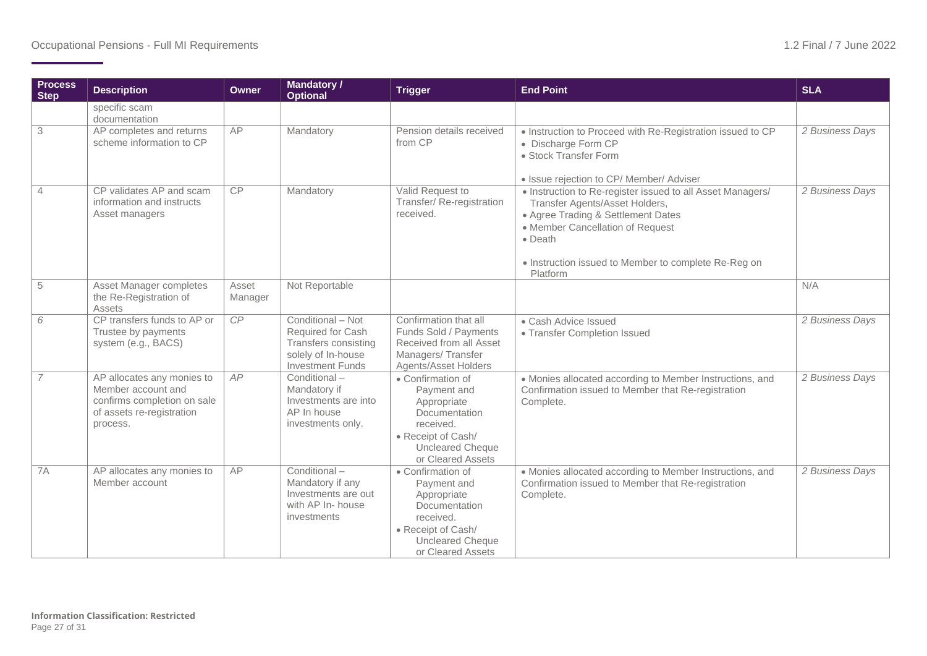| <b>Process</b><br><b>Step</b> | <b>Description</b>                                                                                                       | <b>Owner</b>     | <b>Mandatory /</b><br><b>Optional</b>                                                                           | <b>Trigger</b>                                                                                                                                      | <b>End Point</b>                                                                                                                                                                                                                                      | <b>SLA</b>      |
|-------------------------------|--------------------------------------------------------------------------------------------------------------------------|------------------|-----------------------------------------------------------------------------------------------------------------|-----------------------------------------------------------------------------------------------------------------------------------------------------|-------------------------------------------------------------------------------------------------------------------------------------------------------------------------------------------------------------------------------------------------------|-----------------|
|                               | specific scam<br>documentation                                                                                           |                  |                                                                                                                 |                                                                                                                                                     |                                                                                                                                                                                                                                                       |                 |
| 3                             | AP completes and returns<br>scheme information to CP                                                                     | AP               | Mandatory                                                                                                       | Pension details received<br>from CP                                                                                                                 | . Instruction to Proceed with Re-Registration issued to CP<br>• Discharge Form CP<br>• Stock Transfer Form<br>· Issue rejection to CP/ Member/ Adviser                                                                                                | 2 Business Days |
| $\overline{4}$                | CP validates AP and scam<br>information and instructs<br>Asset managers                                                  | CP               | Mandatory                                                                                                       | Valid Request to<br>Transfer/ Re-registration<br>received.                                                                                          | • Instruction to Re-register issued to all Asset Managers/<br>Transfer Agents/Asset Holders,<br>• Agree Trading & Settlement Dates<br>• Member Cancellation of Request<br>• Death<br>• Instruction issued to Member to complete Re-Reg on<br>Platform | 2 Business Days |
| 5                             | Asset Manager completes<br>the Re-Registration of<br>Assets                                                              | Asset<br>Manager | Not Reportable                                                                                                  |                                                                                                                                                     |                                                                                                                                                                                                                                                       | N/A             |
| 6                             | CP transfers funds to AP or<br>Trustee by payments<br>system (e.g., BACS)                                                | CP               | Conditional - Not<br>Required for Cash<br>Transfers consisting<br>solely of In-house<br><b>Investment Funds</b> | Confirmation that all<br>Funds Sold / Payments<br>Received from all Asset<br>Managers/Transfer<br><b>Agents/Asset Holders</b>                       | • Cash Advice Issued<br>• Transfer Completion Issued                                                                                                                                                                                                  | 2 Business Days |
| $\overline{7}$                | AP allocates any monies to<br>Member account and<br>confirms completion on sale<br>of assets re-registration<br>process. | AP               | Conditional-<br>Mandatory if<br>Investments are into<br>AP In house<br>investments only.                        | • Confirmation of<br>Payment and<br>Appropriate<br>Documentation<br>received.<br>• Receipt of Cash/<br><b>Uncleared Cheque</b><br>or Cleared Assets | • Monies allocated according to Member Instructions, and<br>Confirmation issued to Member that Re-registration<br>Complete.                                                                                                                           | 2 Business Days |
| 7A                            | AP allocates any monies to<br>Member account                                                                             | AP               | Conditional-<br>Mandatory if any<br>Investments are out<br>with AP In- house<br>investments                     | • Confirmation of<br>Payment and<br>Appropriate<br>Documentation<br>received.<br>• Receipt of Cash/<br><b>Uncleared Cheque</b><br>or Cleared Assets | • Monies allocated according to Member Instructions, and<br>Confirmation issued to Member that Re-registration<br>Complete.                                                                                                                           | 2 Business Days |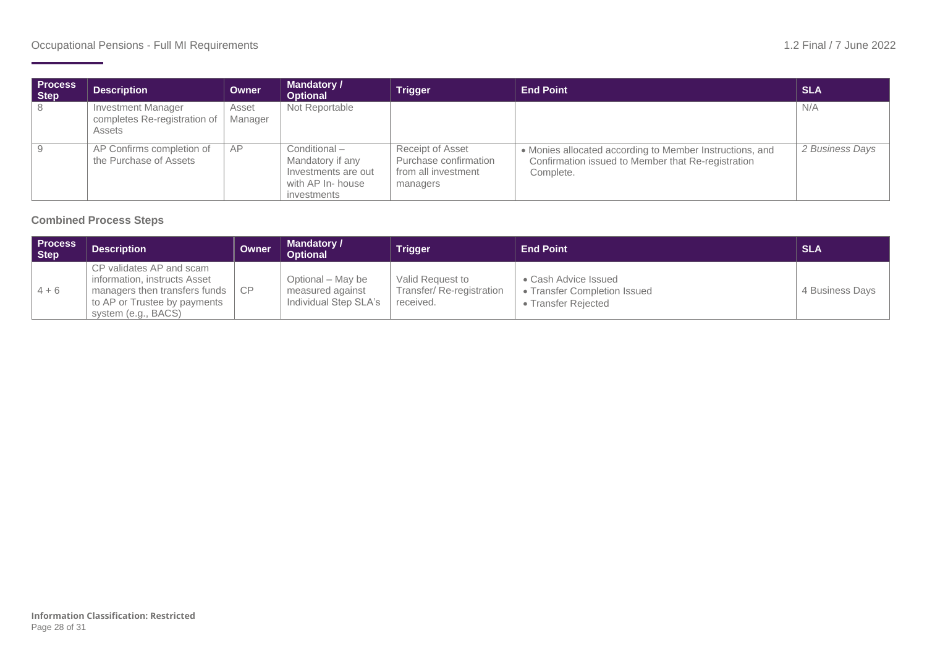| <b>Process</b><br>Step | <b>Description</b>                                                  | Owner            | <b>Mandatory /</b><br><b>Optional</b>                                                       | <b>Trigger</b>                                                                      | <b>End Point</b>                                                                                                            | <b>SLA</b>      |
|------------------------|---------------------------------------------------------------------|------------------|---------------------------------------------------------------------------------------------|-------------------------------------------------------------------------------------|-----------------------------------------------------------------------------------------------------------------------------|-----------------|
| -8                     | <b>Investment Manager</b><br>completes Re-registration of<br>Assets | Asset<br>Manager | Not Reportable                                                                              |                                                                                     |                                                                                                                             | N/A             |
| <u>g</u>               | AP Confirms completion of<br>the Purchase of Assets                 | AP               | Conditional-<br>Mandatory if any<br>Investments are out<br>with AP In- house<br>investments | <b>Receipt of Asset</b><br>Purchase confirmation<br>from all investment<br>managers | • Monies allocated according to Member Instructions, and<br>Confirmation issued to Member that Re-registration<br>Complete. | 2 Business Days |

#### **Combined Process Steps**

| <b>Process</b><br>Step | <b>Description</b>                                                                                                                                    | Owner | <b>Mandatory /</b><br><b>Optional</b>                          | <b>Trigger</b>                                            | <b>End Point</b>                                                            | <b>SLA</b>      |
|------------------------|-------------------------------------------------------------------------------------------------------------------------------------------------------|-------|----------------------------------------------------------------|-----------------------------------------------------------|-----------------------------------------------------------------------------|-----------------|
| $14 + 6$               | CP validates AP and scam<br>information, instructs Asset<br>managers then transfers funds   CP<br>to AP or Trustee by payments<br>system (e.g., BACS) |       | Optional – May be<br>measured against<br>Individual Step SLA's | Valid Request to<br>Transfer/Re-registration<br>received. | • Cash Advice Issued<br>• Transfer Completion Issued<br>• Transfer Reiected | 4 Business Days |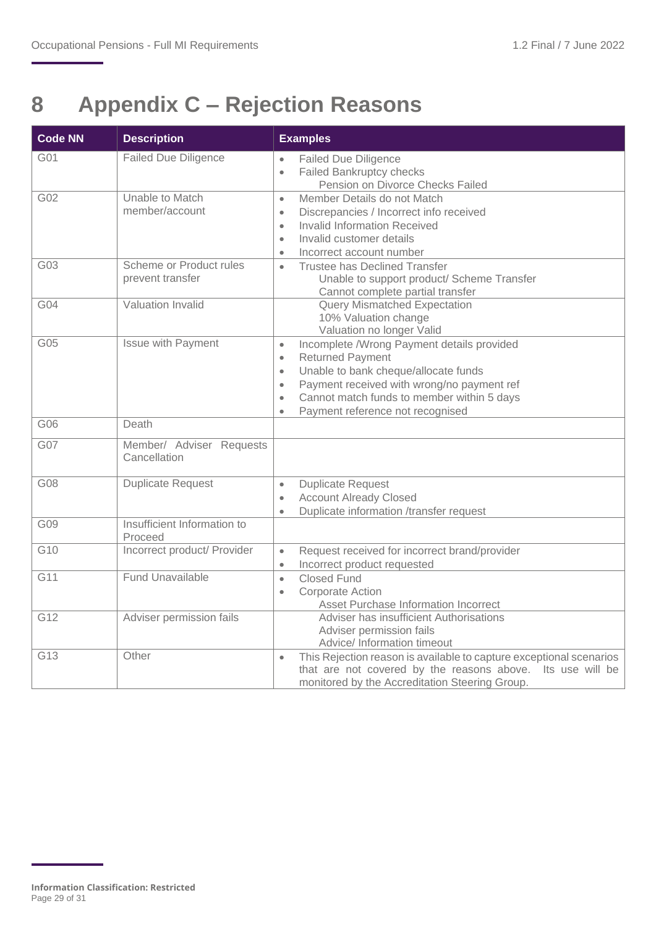## <span id="page-28-0"></span>**8 Appendix C – Rejection Reasons**

| <b>Code NN</b> | <b>Description</b>                          | <b>Examples</b>                                                                                                                                                                                                                                                                                                             |
|----------------|---------------------------------------------|-----------------------------------------------------------------------------------------------------------------------------------------------------------------------------------------------------------------------------------------------------------------------------------------------------------------------------|
| G01            | <b>Failed Due Diligence</b>                 | <b>Failed Due Diligence</b><br>$\bullet$<br>Failed Bankruptcy checks<br>$\bullet$<br>Pension on Divorce Checks Failed                                                                                                                                                                                                       |
| G02            | Unable to Match<br>member/account           | Member Details do not Match<br>$\bullet$<br>Discrepancies / Incorrect info received<br>$\bullet$<br><b>Invalid Information Received</b><br>$\bullet$<br>Invalid customer details<br>$\bullet$<br>Incorrect account number<br>$\bullet$                                                                                      |
| G03            | Scheme or Product rules<br>prevent transfer | <b>Trustee has Declined Transfer</b><br>$\bullet$<br>Unable to support product/ Scheme Transfer<br>Cannot complete partial transfer                                                                                                                                                                                         |
| G04            | Valuation Invalid                           | <b>Query Mismatched Expectation</b><br>10% Valuation change<br>Valuation no longer Valid                                                                                                                                                                                                                                    |
| G05            | <b>Issue with Payment</b>                   | Incomplete /Wrong Payment details provided<br>$\bullet$<br><b>Returned Payment</b><br>$\bullet$<br>Unable to bank cheque/allocate funds<br>$\bullet$<br>Payment received with wrong/no payment ref<br>$\bullet$<br>Cannot match funds to member within 5 days<br>$\bullet$<br>Payment reference not recognised<br>$\bullet$ |
| G06            | Death                                       |                                                                                                                                                                                                                                                                                                                             |
| G07            | Member/ Adviser Requests<br>Cancellation    |                                                                                                                                                                                                                                                                                                                             |
| G08            | <b>Duplicate Request</b>                    | <b>Duplicate Request</b><br>$\bullet$<br><b>Account Already Closed</b><br>$\bullet$<br>Duplicate information /transfer request<br>$\bullet$                                                                                                                                                                                 |
| G09            | Insufficient Information to<br>Proceed      |                                                                                                                                                                                                                                                                                                                             |
| G10            | Incorrect product/ Provider                 | Request received for incorrect brand/provider<br>$\bullet$<br>Incorrect product requested<br>$\bullet$                                                                                                                                                                                                                      |
| G11            | <b>Fund Unavailable</b>                     | <b>Closed Fund</b><br>$\bullet$<br><b>Corporate Action</b><br>$\bullet$<br>Asset Purchase Information Incorrect                                                                                                                                                                                                             |
| G12            | Adviser permission fails                    | Adviser has insufficient Authorisations<br>Adviser permission fails<br>Advice/ Information timeout                                                                                                                                                                                                                          |
| G13            | Other                                       | This Rejection reason is available to capture exceptional scenarios<br>$\bullet$<br>that are not covered by the reasons above. Its use will be<br>monitored by the Accreditation Steering Group.                                                                                                                            |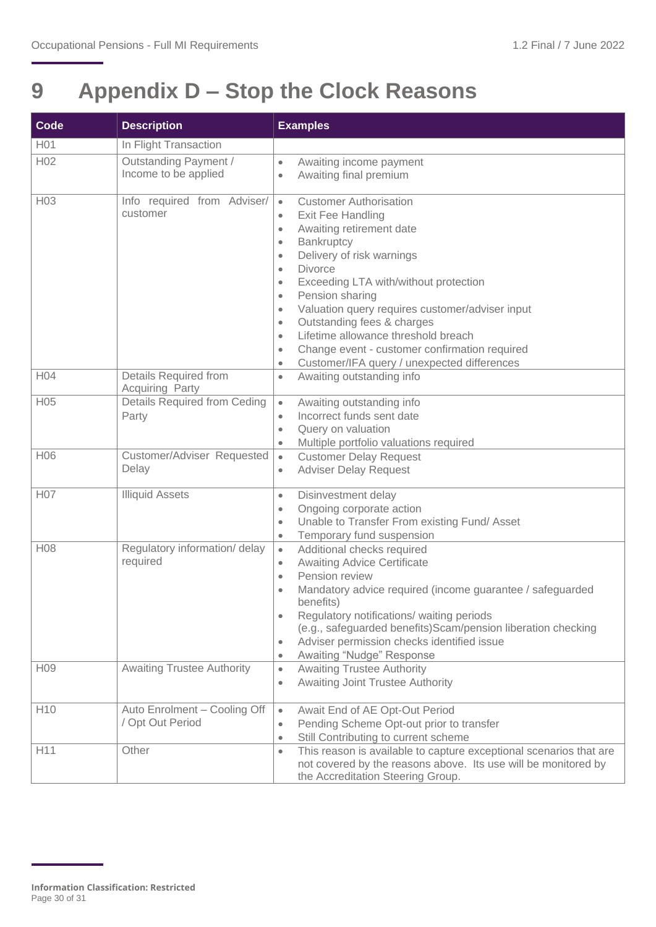## <span id="page-29-0"></span>**9 Appendix D – Stop the Clock Reasons**

| <b>Code</b>     | <b>Description</b>                               | <b>Examples</b>                                                                                                                                                                                                                                                                                                                                                                                                                                                                                                                                                                                          |
|-----------------|--------------------------------------------------|----------------------------------------------------------------------------------------------------------------------------------------------------------------------------------------------------------------------------------------------------------------------------------------------------------------------------------------------------------------------------------------------------------------------------------------------------------------------------------------------------------------------------------------------------------------------------------------------------------|
| H01             | In Flight Transaction                            |                                                                                                                                                                                                                                                                                                                                                                                                                                                                                                                                                                                                          |
| H <sub>02</sub> | Outstanding Payment /<br>Income to be applied    | Awaiting income payment<br>$\bullet$<br>Awaiting final premium<br>$\bullet$                                                                                                                                                                                                                                                                                                                                                                                                                                                                                                                              |
| H <sub>03</sub> | Info required from Adviser/<br>customer          | <b>Customer Authorisation</b><br>$\bullet$<br>Exit Fee Handling<br>$\bullet$<br>Awaiting retirement date<br>$\bullet$<br>Bankruptcy<br>$\bullet$<br>Delivery of risk warnings<br>$\bullet$<br><b>Divorce</b><br>$\bullet$<br>Exceeding LTA with/without protection<br>$\bullet$<br>Pension sharing<br>$\bullet$<br>Valuation query requires customer/adviser input<br>$\bullet$<br>Outstanding fees & charges<br>$\bullet$<br>Lifetime allowance threshold breach<br>$\bullet$<br>Change event - customer confirmation required<br>$\bullet$<br>Customer/IFA query / unexpected differences<br>$\bullet$ |
| H <sub>04</sub> | Details Required from<br><b>Acquiring Party</b>  | Awaiting outstanding info<br>$\bullet$                                                                                                                                                                                                                                                                                                                                                                                                                                                                                                                                                                   |
| H05             | <b>Details Required from Ceding</b><br>Party     | Awaiting outstanding info<br>$\bullet$<br>Incorrect funds sent date<br>$\bullet$<br>Query on valuation<br>$\bullet$<br>Multiple portfolio valuations required<br>$\bullet$                                                                                                                                                                                                                                                                                                                                                                                                                               |
| H06             | Customer/Adviser Requested<br>Delay              | <b>Customer Delay Request</b><br>$\bullet$<br><b>Adviser Delay Request</b><br>$\bullet$                                                                                                                                                                                                                                                                                                                                                                                                                                                                                                                  |
| H07             | <b>Illiquid Assets</b>                           | Disinvestment delay<br>$\bullet$<br>Ongoing corporate action<br>$\bullet$<br>Unable to Transfer From existing Fund/ Asset<br>$\bullet$<br>Temporary fund suspension<br>$\bullet$                                                                                                                                                                                                                                                                                                                                                                                                                         |
| H08             | Regulatory information/ delay<br>required        | Additional checks required<br>$\bullet$<br><b>Awaiting Advice Certificate</b><br>$\bullet$<br>Pension review<br>$\bullet$<br>Mandatory advice required (income guarantee / safeguarded<br>benefits)<br>Regulatory notifications/ waiting periods<br>$\bullet$<br>(e.g., safeguarded benefits) Scam/pension liberation checking<br>Adviser permission checks identified issue<br>$\bullet$<br>Awaiting "Nudge" Response<br>$\bullet$                                                                                                                                                                      |
| H <sub>09</sub> | <b>Awaiting Trustee Authority</b>                | <b>Awaiting Trustee Authority</b><br>$\bullet$<br><b>Awaiting Joint Trustee Authority</b><br>$\bullet$                                                                                                                                                                                                                                                                                                                                                                                                                                                                                                   |
| H <sub>10</sub> | Auto Enrolment - Cooling Off<br>/ Opt Out Period | Await End of AE Opt-Out Period<br>$\bullet$<br>Pending Scheme Opt-out prior to transfer<br>$\bullet$<br>Still Contributing to current scheme<br>$\bullet$                                                                                                                                                                                                                                                                                                                                                                                                                                                |
| H11             | Other                                            | This reason is available to capture exceptional scenarios that are<br>$\bullet$<br>not covered by the reasons above. Its use will be monitored by<br>the Accreditation Steering Group.                                                                                                                                                                                                                                                                                                                                                                                                                   |

**Information Classification: Restricted** Page 30 of 31